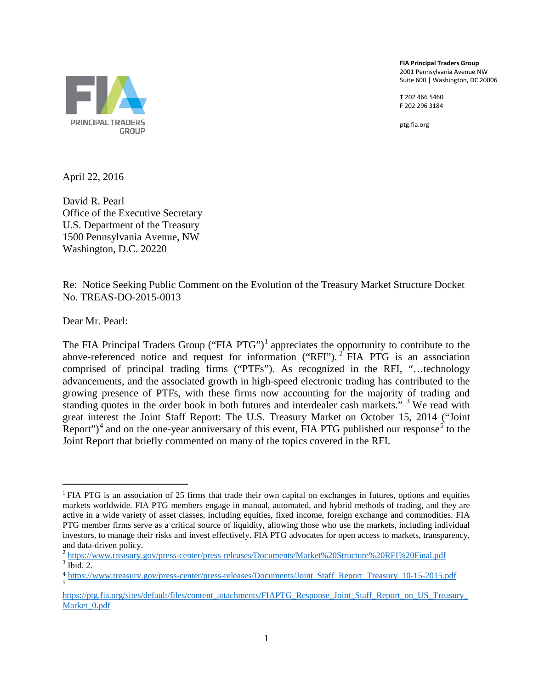**FIA Principal Traders Group** 2001 Pennsylvania Avenue NW Suite 600 | Washington, DC 20006

**T** 202 466 5460 **F** 202 296 3184

ptg.fia.org



April 22, 2016

David R. Pearl Office of the Executive Secretary U.S. Department of the Treasury 1500 Pennsylvania Avenue, NW Washington, D.C. 20220

Re:Notice Seeking Public Comment on the Evolution of the Treasury Market Structure Docket No. TREAS-DO-2015-0013

Dear Mr. Pearl:

 $\overline{a}$ 

The FIA Principal Traders Group ("FIA PTG")<sup>[1](#page-0-0)</sup> appreciates the opportunity to contribute to the above-referenced notice and request for information ("RFI").  $2$  FIA PTG is an association comprised of principal trading firms ("PTFs"). As recognized in the RFI, "…technology advancements, and the associated growth in high-speed electronic trading has contributed to the growing presence of PTFs, with these firms now accounting for the majority of trading and standing quotes in the order book in both futures and interdealer cash markets." <sup>[3](#page-0-2)</sup> We read with great interest the Joint Staff Report: The U.S. Treasury Market on October 15, 2014 ("Joint Report")<sup>[4](#page-0-3)</sup> and on the one-year anniversary of this event, FIA PTG published our response<sup>[5](#page-0-4)</sup> to the Joint Report that briefly commented on many of the topics covered in the RFI.

<span id="page-0-0"></span><sup>&</sup>lt;sup>1</sup> FIA PTG is an association of 25 firms that trade their own capital on exchanges in futures, options and equities markets worldwide. FIA PTG members engage in manual, automated, and hybrid methods of trading, and they are active in a wide variety of asset classes, including equities, fixed income, foreign exchange and commodities. FIA PTG member firms serve as a critical source of liquidity, allowing those who use the markets, including individual investors, to manage their risks and invest effectively. FIA PTG advocates for open access to markets, transparency,

<span id="page-0-1"></span>and data-driven policy.<br>
<sup>2</sup> <https://www.treasury.gov/press-center/press-releases/Documents/Market%20Structure%20RFI%20Final.pdf><br>
<sup>3</sup> Ibid. 2.

<span id="page-0-3"></span><span id="page-0-2"></span><sup>4</sup> [https://www.treasury.gov/press-center/press-releases/Documents/Joint\\_Staff\\_Report\\_Treasury\\_10-15-2015.pdf](https://www.treasury.gov/press-center/press-releases/Documents/Joint_Staff_Report_Treasury_10-15-2015.pdf) <sup>5</sup>

<span id="page-0-4"></span>[https://ptg.fia.org/sites/default/files/content\\_attachments/FIAPTG\\_Response\\_Joint\\_Staff\\_Report\\_on\\_US\\_Treasury\\_](https://ptg.fia.org/sites/default/files/content_attachments/FIAPTG_Response_Joint_Staff_Report_on_US_Treasury_Market_0.pdf) Market 0.pdf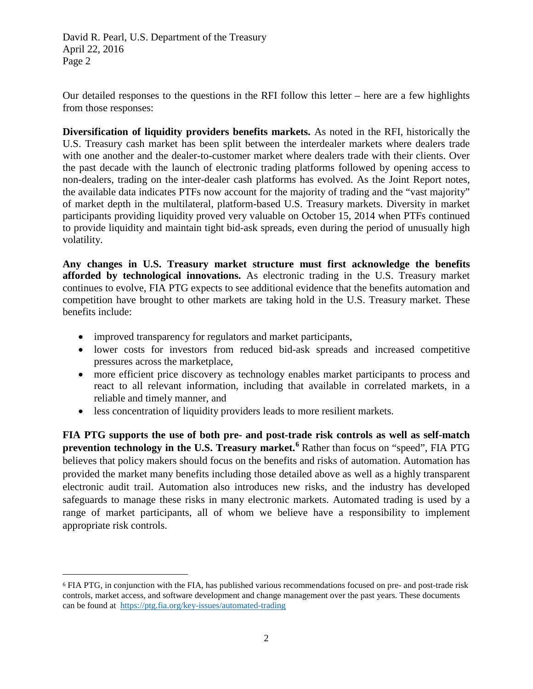Our detailed responses to the questions in the RFI follow this letter – here are a few highlights from those responses:

**Diversification of liquidity providers benefits markets.** As noted in the RFI, historically the U.S. Treasury cash market has been split between the interdealer markets where dealers trade with one another and the dealer-to-customer market where dealers trade with their clients. Over the past decade with the launch of electronic trading platforms followed by opening access to non-dealers, trading on the inter-dealer cash platforms has evolved. As the Joint Report notes, the available data indicates PTFs now account for the majority of trading and the "vast majority" of market depth in the multilateral, platform-based U.S. Treasury markets. Diversity in market participants providing liquidity proved very valuable on October 15, 2014 when PTFs continued to provide liquidity and maintain tight bid-ask spreads, even during the period of unusually high volatility.

**Any changes in U.S. Treasury market structure must first acknowledge the benefits afforded by technological innovations.** As electronic trading in the U.S. Treasury market continues to evolve, FIA PTG expects to see additional evidence that the benefits automation and competition have brought to other markets are taking hold in the U.S. Treasury market. These benefits include:

• improved transparency for regulators and market participants,

 $\overline{a}$ 

- lower costs for investors from reduced bid-ask spreads and increased competitive pressures across the marketplace,
- more efficient price discovery as technology enables market participants to process and react to all relevant information, including that available in correlated markets, in a reliable and timely manner, and
- less concentration of liquidity providers leads to more resilient markets.

**FIA PTG supports the use of both pre- and post-trade risk controls as well as self-match prevention technology in the U.S. Treasury market.[6](#page-1-0)** Rather than focus on "speed", FIA PTG believes that policy makers should focus on the benefits and risks of automation. Automation has provided the market many benefits including those detailed above as well as a highly transparent electronic audit trail. Automation also introduces new risks, and the industry has developed safeguards to manage these risks in many electronic markets. Automated trading is used by a range of market participants, all of whom we believe have a responsibility to implement appropriate risk controls.

<span id="page-1-0"></span><sup>6</sup> FIA PTG, in conjunction with the FIA, has published various recommendations focused on pre- and post-trade risk controls, market access, and software development and change management over the past years. These documents can be found at <https://ptg.fia.org/key-issues/automated-trading>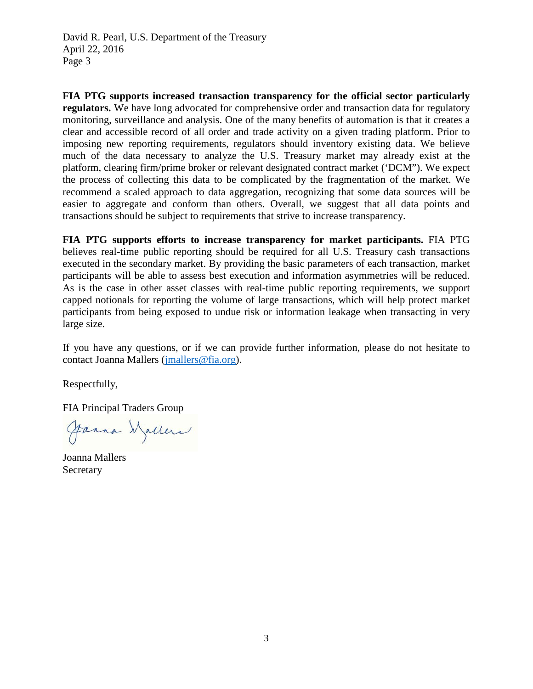**FIA PTG supports increased transaction transparency for the official sector particularly regulators.** We have long advocated for comprehensive order and transaction data for regulatory monitoring, surveillance and analysis. One of the many benefits of automation is that it creates a clear and accessible record of all order and trade activity on a given trading platform. Prior to imposing new reporting requirements, regulators should inventory existing data. We believe much of the data necessary to analyze the U.S. Treasury market may already exist at the platform, clearing firm/prime broker or relevant designated contract market ('DCM"). We expect the process of collecting this data to be complicated by the fragmentation of the market. We recommend a scaled approach to data aggregation, recognizing that some data sources will be easier to aggregate and conform than others. Overall, we suggest that all data points and transactions should be subject to requirements that strive to increase transparency.

**FIA PTG supports efforts to increase transparency for market participants.** FIA PTG believes real-time public reporting should be required for all U.S. Treasury cash transactions executed in the secondary market. By providing the basic parameters of each transaction, market participants will be able to assess best execution and information asymmetries will be reduced. As is the case in other asset classes with real-time public reporting requirements, we support capped notionals for reporting the volume of large transactions, which will help protect market participants from being exposed to undue risk or information leakage when transacting in very large size.

If you have any questions, or if we can provide further information, please do not hesitate to contact Joanna Mallers [\(jmallers@fia.org\)](mailto:jmallers@fia.org).

Respectfully,

FIA Principal Traders Group

Janna Waller

Joanna Mallers Secretary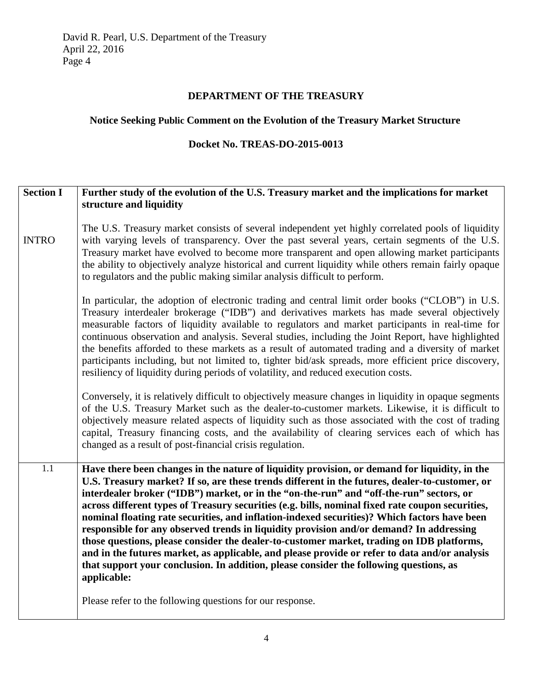## **DEPARTMENT OF THE TREASURY**

# **Notice Seeking Public Comment on the Evolution of the Treasury Market Structure**

### **Docket No. TREAS-DO-2015-0013**

| <b>Section I</b> | Further study of the evolution of the U.S. Treasury market and the implications for market                                                                                                                                                                                                                                                                                                                                                                                                                                                                                                                                                                                                                                                                                                                                                                                                       |
|------------------|--------------------------------------------------------------------------------------------------------------------------------------------------------------------------------------------------------------------------------------------------------------------------------------------------------------------------------------------------------------------------------------------------------------------------------------------------------------------------------------------------------------------------------------------------------------------------------------------------------------------------------------------------------------------------------------------------------------------------------------------------------------------------------------------------------------------------------------------------------------------------------------------------|
|                  | structure and liquidity                                                                                                                                                                                                                                                                                                                                                                                                                                                                                                                                                                                                                                                                                                                                                                                                                                                                          |
| <b>INTRO</b>     | The U.S. Treasury market consists of several independent yet highly correlated pools of liquidity<br>with varying levels of transparency. Over the past several years, certain segments of the U.S.<br>Treasury market have evolved to become more transparent and open allowing market participants<br>the ability to objectively analyze historical and current liquidity while others remain fairly opaque<br>to regulators and the public making similar analysis difficult to perform.                                                                                                                                                                                                                                                                                                                                                                                                      |
|                  | In particular, the adoption of electronic trading and central limit order books ("CLOB") in U.S.<br>Treasury interdealer brokerage ("IDB") and derivatives markets has made several objectively<br>measurable factors of liquidity available to regulators and market participants in real-time for<br>continuous observation and analysis. Several studies, including the Joint Report, have highlighted<br>the benefits afforded to these markets as a result of automated trading and a diversity of market<br>participants including, but not limited to, tighter bid/ask spreads, more efficient price discovery,<br>resiliency of liquidity during periods of volatility, and reduced execution costs.                                                                                                                                                                                     |
|                  | Conversely, it is relatively difficult to objectively measure changes in liquidity in opaque segments<br>of the U.S. Treasury Market such as the dealer-to-customer markets. Likewise, it is difficult to<br>objectively measure related aspects of liquidity such as those associated with the cost of trading<br>capital, Treasury financing costs, and the availability of clearing services each of which has<br>changed as a result of post-financial crisis regulation.                                                                                                                                                                                                                                                                                                                                                                                                                    |
| 1.1              | Have there been changes in the nature of liquidity provision, or demand for liquidity, in the<br>U.S. Treasury market? If so, are these trends different in the futures, dealer-to-customer, or<br>interdealer broker ("IDB") market, or in the "on-the-run" and "off-the-run" sectors, or<br>across different types of Treasury securities (e.g. bills, nominal fixed rate coupon securities,<br>nominal floating rate securities, and inflation-indexed securities)? Which factors have been<br>responsible for any observed trends in liquidity provision and/or demand? In addressing<br>those questions, please consider the dealer-to-customer market, trading on IDB platforms,<br>and in the futures market, as applicable, and please provide or refer to data and/or analysis<br>that support your conclusion. In addition, please consider the following questions, as<br>applicable: |
|                  | Please refer to the following questions for our response.                                                                                                                                                                                                                                                                                                                                                                                                                                                                                                                                                                                                                                                                                                                                                                                                                                        |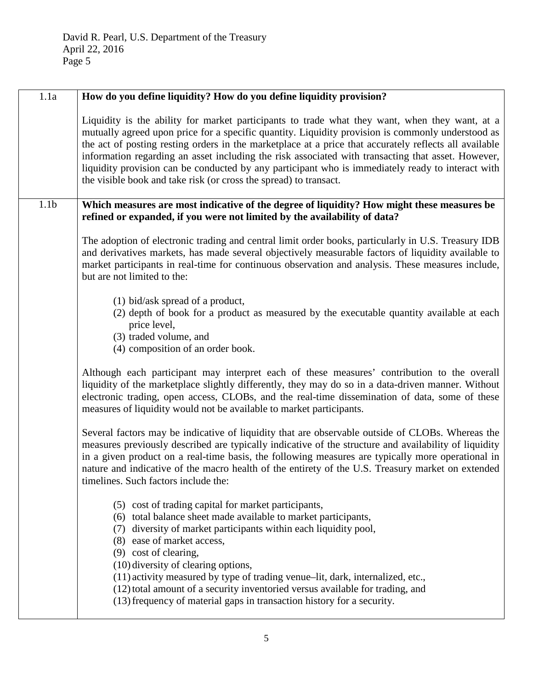| 1.1a             | How do you define liquidity? How do you define liquidity provision?                                                                                                                                                                                                                                                                                                                                                                                                                                                                                                                           |
|------------------|-----------------------------------------------------------------------------------------------------------------------------------------------------------------------------------------------------------------------------------------------------------------------------------------------------------------------------------------------------------------------------------------------------------------------------------------------------------------------------------------------------------------------------------------------------------------------------------------------|
|                  | Liquidity is the ability for market participants to trade what they want, when they want, at a<br>mutually agreed upon price for a specific quantity. Liquidity provision is commonly understood as<br>the act of posting resting orders in the marketplace at a price that accurately reflects all available<br>information regarding an asset including the risk associated with transacting that asset. However,<br>liquidity provision can be conducted by any participant who is immediately ready to interact with<br>the visible book and take risk (or cross the spread) to transact. |
| 1.1 <sub>b</sub> | Which measures are most indicative of the degree of liquidity? How might these measures be<br>refined or expanded, if you were not limited by the availability of data?                                                                                                                                                                                                                                                                                                                                                                                                                       |
|                  | The adoption of electronic trading and central limit order books, particularly in U.S. Treasury IDB<br>and derivatives markets, has made several objectively measurable factors of liquidity available to<br>market participants in real-time for continuous observation and analysis. These measures include,<br>but are not limited to the:                                                                                                                                                                                                                                                 |
|                  | $(1)$ bid/ask spread of a product,<br>(2) depth of book for a product as measured by the executable quantity available at each<br>price level,<br>(3) traded volume, and<br>(4) composition of an order book.                                                                                                                                                                                                                                                                                                                                                                                 |
|                  | Although each participant may interpret each of these measures' contribution to the overall<br>liquidity of the marketplace slightly differently, they may do so in a data-driven manner. Without<br>electronic trading, open access, CLOBs, and the real-time dissemination of data, some of these<br>measures of liquidity would not be available to market participants.                                                                                                                                                                                                                   |
|                  | Several factors may be indicative of liquidity that are observable outside of CLOBs. Whereas the<br>measures previously described are typically indicative of the structure and availability of liquidity<br>in a given product on a real-time basis, the following measures are typically more operational in<br>nature and indicative of the macro health of the entirety of the U.S. Treasury market on extended<br>timelines. Such factors include the:                                                                                                                                   |
|                  | (5) cost of trading capital for market participants,<br>(6) total balance sheet made available to market participants,<br>(7) diversity of market participants within each liquidity pool,<br>(8) ease of market access,<br>(9) cost of clearing,<br>(10) diversity of clearing options,                                                                                                                                                                                                                                                                                                      |
|                  | (11) activity measured by type of trading venue-lit, dark, internalized, etc.,<br>(12) total amount of a security inventoried versus available for trading, and<br>(13) frequency of material gaps in transaction history for a security.                                                                                                                                                                                                                                                                                                                                                     |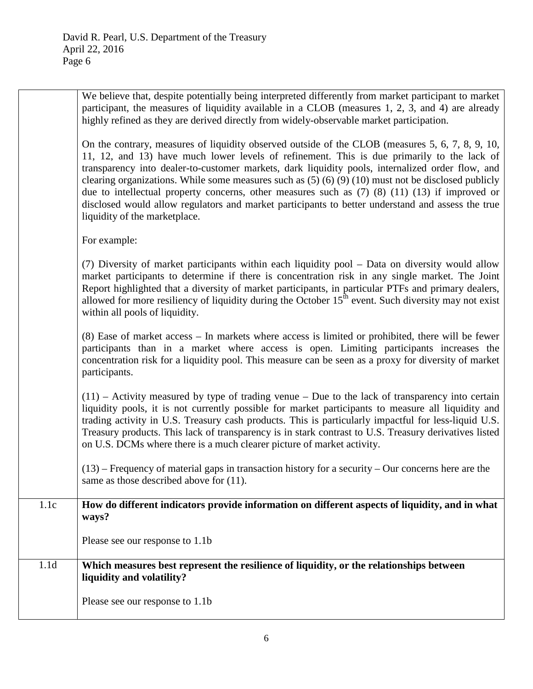| We believe that, despite potentially being interpreted differently from market participant to market |
|------------------------------------------------------------------------------------------------------|
| participant, the measures of liquidity available in a CLOB (measures 1, 2, 3, and 4) are already     |
| highly refined as they are derived directly from widely-observable market participation.             |

On the contrary, measures of liquidity observed outside of the CLOB (measures 5, 6, 7, 8, 9, 10, 11, 12, and 13) have much lower levels of refinement. This is due primarily to the lack of transparency into dealer-to-customer markets, dark liquidity pools, internalized order flow, and clearing organizations. While some measures such as (5) (6) (9) (10) must not be disclosed publicly due to intellectual property concerns, other measures such as (7) (8) (11) (13) if improved or disclosed would allow regulators and market participants to better understand and assess the true liquidity of the marketplace.

For example:

(7) Diversity of market participants within each liquidity pool – Data on diversity would allow market participants to determine if there is concentration risk in any single market. The Joint Report highlighted that a diversity of market participants, in particular PTFs and primary dealers, allowed for more resiliency of liquidity during the October  $15<sup>th</sup>$  event. Such diversity may not exist within all pools of liquidity.

(8) Ease of market access – In markets where access is limited or prohibited, there will be fewer participants than in a market where access is open. Limiting participants increases the concentration risk for a liquidity pool. This measure can be seen as a proxy for diversity of market participants.

 $(11)$  – Activity measured by type of trading venue – Due to the lack of transparency into certain liquidity pools, it is not currently possible for market participants to measure all liquidity and trading activity in U.S. Treasury cash products. This is particularly impactful for less-liquid U.S. Treasury products. This lack of transparency is in stark contrast to U.S. Treasury derivatives listed on U.S. DCMs where there is a much clearer picture of market activity.

 $(13)$  – Frequency of material gaps in transaction history for a security – Our concerns here are the same as those described above for  $(11)$ .

### 1.1c **How do different indicators provide information on different aspects of liquidity, and in what ways?**

Please see our response to 1.1b

## 1.1d **Which measures best represent the resilience of liquidity, or the relationships between liquidity and volatility?**

Please see our response to 1.1b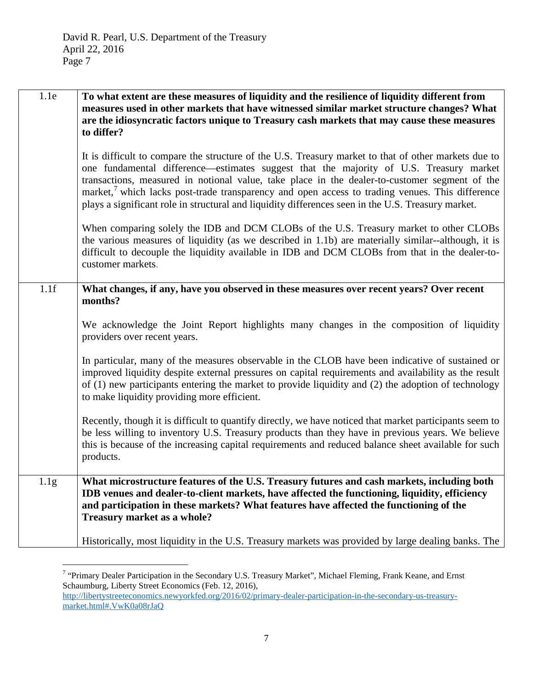| 1.1e | To what extent are these measures of liquidity and the resilience of liquidity different from<br>measures used in other markets that have witnessed similar market structure changes? What<br>are the idiosyncratic factors unique to Treasury cash markets that may cause these measures<br>to differ?                                                                                                                                                                                                 |
|------|---------------------------------------------------------------------------------------------------------------------------------------------------------------------------------------------------------------------------------------------------------------------------------------------------------------------------------------------------------------------------------------------------------------------------------------------------------------------------------------------------------|
|      | It is difficult to compare the structure of the U.S. Treasury market to that of other markets due to<br>one fundamental difference—estimates suggest that the majority of U.S. Treasury market<br>transactions, measured in notional value, take place in the dealer-to-customer segment of the<br>market, which lacks post-trade transparency and open access to trading venues. This difference<br>plays a significant role in structural and liquidity differences seen in the U.S. Treasury market. |
|      | When comparing solely the IDB and DCM CLOBs of the U.S. Treasury market to other CLOBs<br>the various measures of liquidity (as we described in 1.1b) are materially similar--although, it is<br>difficult to decouple the liquidity available in IDB and DCM CLOBs from that in the dealer-to-<br>customer markets.                                                                                                                                                                                    |
| 1.1f | What changes, if any, have you observed in these measures over recent years? Over recent<br>months?                                                                                                                                                                                                                                                                                                                                                                                                     |
|      | We acknowledge the Joint Report highlights many changes in the composition of liquidity<br>providers over recent years.                                                                                                                                                                                                                                                                                                                                                                                 |
|      | In particular, many of the measures observable in the CLOB have been indicative of sustained or<br>improved liquidity despite external pressures on capital requirements and availability as the result<br>of (1) new participants entering the market to provide liquidity and (2) the adoption of technology<br>to make liquidity providing more efficient.                                                                                                                                           |
|      | Recently, though it is difficult to quantify directly, we have noticed that market participants seem to<br>be less willing to inventory U.S. Treasury products than they have in previous years. We believe<br>this is because of the increasing capital requirements and reduced balance sheet available for such<br>products.                                                                                                                                                                         |
| 1.1g | What microstructure features of the U.S. Treasury futures and cash markets, including both<br>IDB venues and dealer-to-client markets, have affected the functioning, liquidity, efficiency<br>and participation in these markets? What features have affected the functioning of the<br>Treasury market as a whole?                                                                                                                                                                                    |
|      | Historically, most liquidity in the U.S. Treasury markets was provided by large dealing banks. The                                                                                                                                                                                                                                                                                                                                                                                                      |

<span id="page-6-0"></span> $7$  "Primary Dealer Participation in the Secondary U.S. Treasury Market", Michael Fleming, Frank Keane, and Ernst Schaumburg, Liberty Street Economics (Feb. 12, 2016), [http://libertystreeteconomics.newyorkfed.org/2016/02/primary-dealer-participation-in-the-secondary-us-treasury](http://libertystreeteconomics.newyorkfed.org/2016/02/primary-dealer-participation-in-the-secondary-us-treasury-market.html%23.VwK0a08rJaQ)[market.html#.VwK0a08rJaQ](http://libertystreeteconomics.newyorkfed.org/2016/02/primary-dealer-participation-in-the-secondary-us-treasury-market.html%23.VwK0a08rJaQ)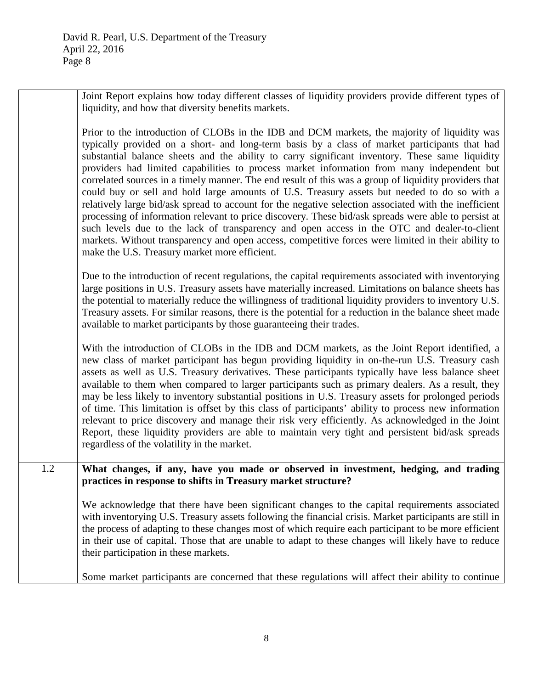Joint Report explains how today different classes of liquidity providers provide different types of liquidity, and how that diversity benefits markets.

Prior to the introduction of CLOBs in the IDB and DCM markets, the majority of liquidity was typically provided on a short- and long-term basis by a class of market participants that had substantial balance sheets and the ability to carry significant inventory. These same liquidity providers had limited capabilities to process market information from many independent but correlated sources in a timely manner. The end result of this was a group of liquidity providers that could buy or sell and hold large amounts of U.S. Treasury assets but needed to do so with a relatively large bid/ask spread to account for the negative selection associated with the inefficient processing of information relevant to price discovery. These bid/ask spreads were able to persist at such levels due to the lack of transparency and open access in the OTC and dealer-to-client markets. Without transparency and open access, competitive forces were limited in their ability to make the U.S. Treasury market more efficient.

Due to the introduction of recent regulations, the capital requirements associated with inventorying large positions in U.S. Treasury assets have materially increased. Limitations on balance sheets has the potential to materially reduce the willingness of traditional liquidity providers to inventory U.S. Treasury assets. For similar reasons, there is the potential for a reduction in the balance sheet made available to market participants by those guaranteeing their trades.

With the introduction of CLOBs in the IDB and DCM markets, as the Joint Report identified, a new class of market participant has begun providing liquidity in on-the-run U.S. Treasury cash assets as well as U.S. Treasury derivatives. These participants typically have less balance sheet available to them when compared to larger participants such as primary dealers. As a result, they may be less likely to inventory substantial positions in U.S. Treasury assets for prolonged periods of time. This limitation is offset by this class of participants' ability to process new information relevant to price discovery and manage their risk very efficiently. As acknowledged in the Joint Report, these liquidity providers are able to maintain very tight and persistent bid/ask spreads regardless of the volatility in the market.

1.2 **What changes, if any, have you made or observed in investment, hedging, and trading practices in response to shifts in Treasury market structure?**

> We acknowledge that there have been significant changes to the capital requirements associated with inventorying U.S. Treasury assets following the financial crisis. Market participants are still in the process of adapting to these changes most of which require each participant to be more efficient in their use of capital. Those that are unable to adapt to these changes will likely have to reduce their participation in these markets.

Some market participants are concerned that these regulations will affect their ability to continue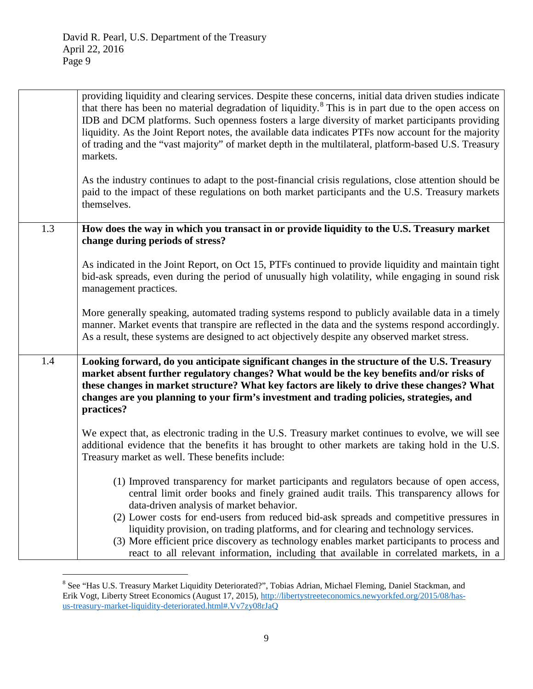|     | providing liquidity and clearing services. Despite these concerns, initial data driven studies indicate<br>that there has been no material degradation of liquidity. <sup>8</sup> This is in part due to the open access on<br>IDB and DCM platforms. Such openness fosters a large diversity of market participants providing<br>liquidity. As the Joint Report notes, the available data indicates PTFs now account for the majority<br>of trading and the "vast majority" of market depth in the multilateral, platform-based U.S. Treasury<br>markets.<br>As the industry continues to adapt to the post-financial crisis regulations, close attention should be<br>paid to the impact of these regulations on both market participants and the U.S. Treasury markets<br>themselves. |
|-----|------------------------------------------------------------------------------------------------------------------------------------------------------------------------------------------------------------------------------------------------------------------------------------------------------------------------------------------------------------------------------------------------------------------------------------------------------------------------------------------------------------------------------------------------------------------------------------------------------------------------------------------------------------------------------------------------------------------------------------------------------------------------------------------|
| 1.3 | How does the way in which you transact in or provide liquidity to the U.S. Treasury market<br>change during periods of stress?                                                                                                                                                                                                                                                                                                                                                                                                                                                                                                                                                                                                                                                           |
|     | As indicated in the Joint Report, on Oct 15, PTFs continued to provide liquidity and maintain tight<br>bid-ask spreads, even during the period of unusually high volatility, while engaging in sound risk<br>management practices.                                                                                                                                                                                                                                                                                                                                                                                                                                                                                                                                                       |
|     | More generally speaking, automated trading systems respond to publicly available data in a timely<br>manner. Market events that transpire are reflected in the data and the systems respond accordingly.<br>As a result, these systems are designed to act objectively despite any observed market stress.                                                                                                                                                                                                                                                                                                                                                                                                                                                                               |
| 1.4 | Looking forward, do you anticipate significant changes in the structure of the U.S. Treasury<br>market absent further regulatory changes? What would be the key benefits and/or risks of<br>these changes in market structure? What key factors are likely to drive these changes? What<br>changes are you planning to your firm's investment and trading policies, strategies, and<br>practices?                                                                                                                                                                                                                                                                                                                                                                                        |
|     | We expect that, as electronic trading in the U.S. Treasury market continues to evolve, we will see<br>additional evidence that the benefits it has brought to other markets are taking hold in the U.S.<br>Treasury market as well. These benefits include:                                                                                                                                                                                                                                                                                                                                                                                                                                                                                                                              |
|     | (1) Improved transparency for market participants and regulators because of open access,<br>central limit order books and finely grained audit trails. This transparency allows for<br>data-driven analysis of market behavior.<br>(2) Lower costs for end-users from reduced bid-ask spreads and competitive pressures in<br>liquidity provision, on trading platforms, and for clearing and technology services.                                                                                                                                                                                                                                                                                                                                                                       |
|     | (3) More efficient price discovery as technology enables market participants to process and<br>react to all relevant information, including that available in correlated markets, in a                                                                                                                                                                                                                                                                                                                                                                                                                                                                                                                                                                                                   |

<span id="page-8-0"></span><sup>&</sup>lt;sup>8</sup> See "Has U.S. Treasury Market Liquidity Deteriorated?", Tobias Adrian, Michael Fleming, Daniel Stackman, and Erik Vogt, Liberty Street Economics (August 17, 2015)[, http://libertystreeteconomics.newyorkfed.org/2015/08/has](http://libertystreeteconomics.newyorkfed.org/2015/08/has-us-treasury-market-liquidity-deteriorated.html%23.Vv7zy08rJaQ)[us-treasury-market-liquidity-deteriorated.html#.Vv7zy08rJaQ](http://libertystreeteconomics.newyorkfed.org/2015/08/has-us-treasury-market-liquidity-deteriorated.html%23.Vv7zy08rJaQ)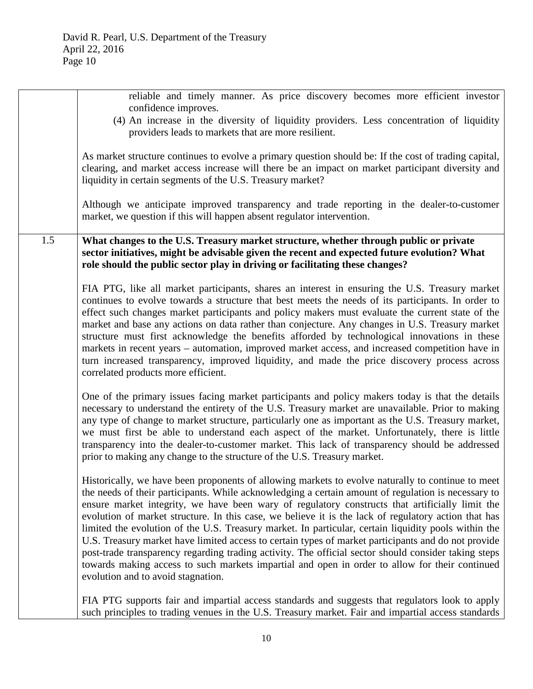|     | reliable and timely manner. As price discovery becomes more efficient investor<br>confidence improves.                                                                                                                                                                                                                                                                                                                                                                                                                                                                                                                                                                                                                                                                                                                                                                             |
|-----|------------------------------------------------------------------------------------------------------------------------------------------------------------------------------------------------------------------------------------------------------------------------------------------------------------------------------------------------------------------------------------------------------------------------------------------------------------------------------------------------------------------------------------------------------------------------------------------------------------------------------------------------------------------------------------------------------------------------------------------------------------------------------------------------------------------------------------------------------------------------------------|
|     | (4) An increase in the diversity of liquidity providers. Less concentration of liquidity<br>providers leads to markets that are more resilient.                                                                                                                                                                                                                                                                                                                                                                                                                                                                                                                                                                                                                                                                                                                                    |
|     | As market structure continues to evolve a primary question should be: If the cost of trading capital,<br>clearing, and market access increase will there be an impact on market participant diversity and<br>liquidity in certain segments of the U.S. Treasury market?                                                                                                                                                                                                                                                                                                                                                                                                                                                                                                                                                                                                            |
|     | Although we anticipate improved transparency and trade reporting in the dealer-to-customer<br>market, we question if this will happen absent regulator intervention.                                                                                                                                                                                                                                                                                                                                                                                                                                                                                                                                                                                                                                                                                                               |
| 1.5 | What changes to the U.S. Treasury market structure, whether through public or private<br>sector initiatives, might be advisable given the recent and expected future evolution? What<br>role should the public sector play in driving or facilitating these changes?                                                                                                                                                                                                                                                                                                                                                                                                                                                                                                                                                                                                               |
|     | FIA PTG, like all market participants, shares an interest in ensuring the U.S. Treasury market<br>continues to evolve towards a structure that best meets the needs of its participants. In order to<br>effect such changes market participants and policy makers must evaluate the current state of the<br>market and base any actions on data rather than conjecture. Any changes in U.S. Treasury market<br>structure must first acknowledge the benefits afforded by technological innovations in these<br>markets in recent years – automation, improved market access, and increased competition have in<br>turn increased transparency, improved liquidity, and made the price discovery process across<br>correlated products more efficient.                                                                                                                              |
|     | One of the primary issues facing market participants and policy makers today is that the details<br>necessary to understand the entirety of the U.S. Treasury market are unavailable. Prior to making<br>any type of change to market structure, particularly one as important as the U.S. Treasury market,<br>we must first be able to understand each aspect of the market. Unfortunately, there is little<br>transparency into the dealer-to-customer market. This lack of transparency should be addressed<br>prior to making any change to the structure of the U.S. Treasury market.                                                                                                                                                                                                                                                                                         |
|     | Historically, we have been proponents of allowing markets to evolve naturally to continue to meet<br>the needs of their participants. While acknowledging a certain amount of regulation is necessary to<br>ensure market integrity, we have been wary of regulatory constructs that artificially limit the<br>evolution of market structure. In this case, we believe it is the lack of regulatory action that has<br>limited the evolution of the U.S. Treasury market. In particular, certain liquidity pools within the<br>U.S. Treasury market have limited access to certain types of market participants and do not provide<br>post-trade transparency regarding trading activity. The official sector should consider taking steps<br>towards making access to such markets impartial and open in order to allow for their continued<br>evolution and to avoid stagnation. |
|     | FIA PTG supports fair and impartial access standards and suggests that regulators look to apply<br>such principles to trading venues in the U.S. Treasury market. Fair and impartial access standards                                                                                                                                                                                                                                                                                                                                                                                                                                                                                                                                                                                                                                                                              |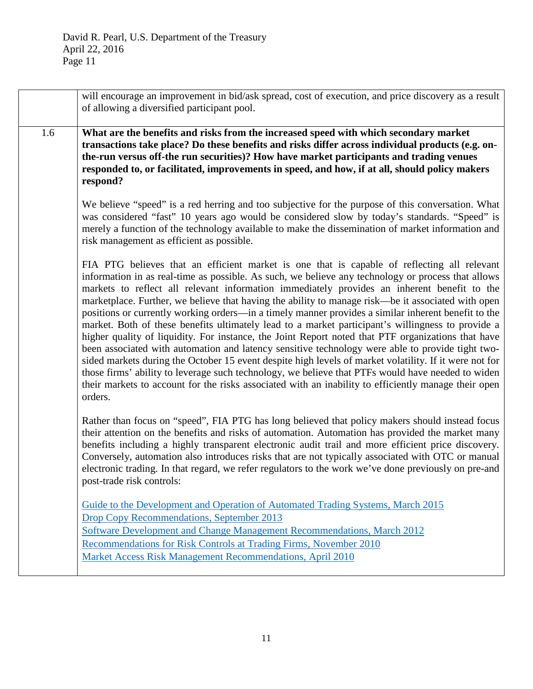|     | will encourage an improvement in bid/ask spread, cost of execution, and price discovery as a result<br>of allowing a diversified participant pool.                                                                                                                                                                                                                                                                                                                                                                                                                                                                                                                                                                                                                                                                                                                                                                                                                                                                                                                                                                                                             |
|-----|----------------------------------------------------------------------------------------------------------------------------------------------------------------------------------------------------------------------------------------------------------------------------------------------------------------------------------------------------------------------------------------------------------------------------------------------------------------------------------------------------------------------------------------------------------------------------------------------------------------------------------------------------------------------------------------------------------------------------------------------------------------------------------------------------------------------------------------------------------------------------------------------------------------------------------------------------------------------------------------------------------------------------------------------------------------------------------------------------------------------------------------------------------------|
| 1.6 | What are the benefits and risks from the increased speed with which secondary market<br>transactions take place? Do these benefits and risks differ across individual products (e.g. on-<br>the-run versus off-the run securities)? How have market participants and trading venues<br>responded to, or facilitated, improvements in speed, and how, if at all, should policy makers<br>respond?                                                                                                                                                                                                                                                                                                                                                                                                                                                                                                                                                                                                                                                                                                                                                               |
|     | We believe "speed" is a red herring and too subjective for the purpose of this conversation. What<br>was considered "fast" 10 years ago would be considered slow by today's standards. "Speed" is<br>merely a function of the technology available to make the dissemination of market information and<br>risk management as efficient as possible.                                                                                                                                                                                                                                                                                                                                                                                                                                                                                                                                                                                                                                                                                                                                                                                                            |
|     | FIA PTG believes that an efficient market is one that is capable of reflecting all relevant<br>information in as real-time as possible. As such, we believe any technology or process that allows<br>markets to reflect all relevant information immediately provides an inherent benefit to the<br>marketplace. Further, we believe that having the ability to manage risk—be it associated with open<br>positions or currently working orders-in a timely manner provides a similar inherent benefit to the<br>market. Both of these benefits ultimately lead to a market participant's willingness to provide a<br>higher quality of liquidity. For instance, the Joint Report noted that PTF organizations that have<br>been associated with automation and latency sensitive technology were able to provide tight two-<br>sided markets during the October 15 event despite high levels of market volatility. If it were not for<br>those firms' ability to leverage such technology, we believe that PTFs would have needed to widen<br>their markets to account for the risks associated with an inability to efficiently manage their open<br>orders. |
|     | Rather than focus on "speed", FIA PTG has long believed that policy makers should instead focus<br>their attention on the benefits and risks of automation. Automation has provided the market many<br>benefits including a highly transparent electronic audit trail and more efficient price discovery.<br>Conversely, automation also introduces risks that are not typically associated with OTC or manual<br>electronic trading. In that regard, we refer regulators to the work we've done previously on pre-and<br>post-trade risk controls:                                                                                                                                                                                                                                                                                                                                                                                                                                                                                                                                                                                                            |
|     | Guide to the Development and Operation of Automated Trading Systems, March 2015<br>Drop Copy Recommendations, September 2013<br>Software Development and Change Management Recommendations, March 2012<br>Recommendations for Risk Controls at Trading Firms, November 2010<br>Market Access Risk Management Recommendations, April 2010                                                                                                                                                                                                                                                                                                                                                                                                                                                                                                                                                                                                                                                                                                                                                                                                                       |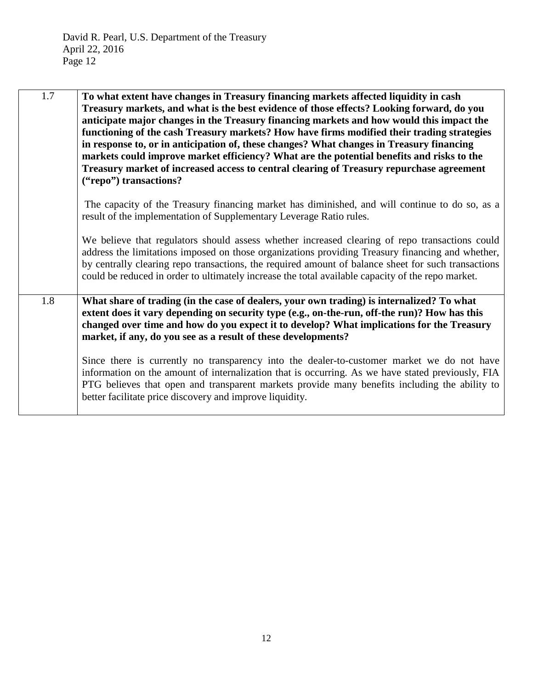| 1.7 | To what extent have changes in Treasury financing markets affected liquidity in cash<br>Treasury markets, and what is the best evidence of those effects? Looking forward, do you<br>anticipate major changes in the Treasury financing markets and how would this impact the<br>functioning of the cash Treasury markets? How have firms modified their trading strategies<br>in response to, or in anticipation of, these changes? What changes in Treasury financing<br>markets could improve market efficiency? What are the potential benefits and risks to the<br>Treasury market of increased access to central clearing of Treasury repurchase agreement<br>("repo") transactions? |
|-----|--------------------------------------------------------------------------------------------------------------------------------------------------------------------------------------------------------------------------------------------------------------------------------------------------------------------------------------------------------------------------------------------------------------------------------------------------------------------------------------------------------------------------------------------------------------------------------------------------------------------------------------------------------------------------------------------|
|     | The capacity of the Treasury financing market has diminished, and will continue to do so, as a<br>result of the implementation of Supplementary Leverage Ratio rules.                                                                                                                                                                                                                                                                                                                                                                                                                                                                                                                      |
|     | We believe that regulators should assess whether increased clearing of repo transactions could<br>address the limitations imposed on those organizations providing Treasury financing and whether,<br>by centrally clearing repo transactions, the required amount of balance sheet for such transactions<br>could be reduced in order to ultimately increase the total available capacity of the repo market.                                                                                                                                                                                                                                                                             |
| 1.8 | What share of trading (in the case of dealers, your own trading) is internalized? To what<br>extent does it vary depending on security type (e.g., on-the-run, off-the run)? How has this<br>changed over time and how do you expect it to develop? What implications for the Treasury<br>market, if any, do you see as a result of these developments?                                                                                                                                                                                                                                                                                                                                    |
|     | Since there is currently no transparency into the dealer-to-customer market we do not have<br>information on the amount of internalization that is occurring. As we have stated previously, FIA<br>PTG believes that open and transparent markets provide many benefits including the ability to<br>better facilitate price discovery and improve liquidity.                                                                                                                                                                                                                                                                                                                               |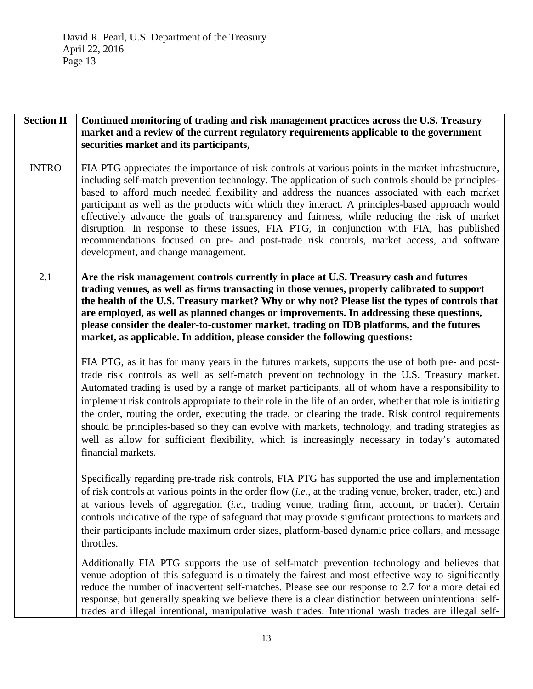**Section II** INTRO **Continued monitoring of trading and risk management practices across the U.S. Treasury market and a review of the current regulatory requirements applicable to the government securities market and its participants,** FIA PTG appreciates the importance of risk controls at various points in the market infrastructure, including self-match prevention technology. The application of such controls should be principlesbased to afford much needed flexibility and address the nuances associated with each market participant as well as the products with which they interact. A principles-based approach would effectively advance the goals of transparency and fairness, while reducing the risk of market disruption. In response to these issues, FIA PTG, in conjunction with FIA, has published recommendations focused on pre- and post-trade risk controls, market access, and software development, and change management. 2.1 **Are the risk management controls currently in place at U.S. Treasury cash and futures trading venues, as well as firms transacting in those venues, properly calibrated to support the health of the U.S. Treasury market? Why or why not? Please list the types of controls that are employed, as well as planned changes or improvements. In addressing these questions, please consider the dealer-to-customer market, trading on IDB platforms, and the futures market, as applicable. In addition, please consider the following questions:**  FIA PTG, as it has for many years in the futures markets, supports the use of both pre- and posttrade risk controls as well as self-match prevention technology in the U.S. Treasury market. Automated trading is used by a range of market participants, all of whom have a responsibility to implement risk controls appropriate to their role in the life of an order, whether that role is initiating the order, routing the order, executing the trade, or clearing the trade. Risk control requirements should be principles-based so they can evolve with markets, technology, and trading strategies as well as allow for sufficient flexibility, which is increasingly necessary in today's automated financial markets. Specifically regarding pre-trade risk controls, FIA PTG has supported the use and implementation of risk controls at various points in the order flow (*i.e.,* at the trading venue, broker, trader, etc.) and at various levels of aggregation (*i.e.,* trading venue, trading firm, account, or trader). Certain controls indicative of the type of safeguard that may provide significant protections to markets and their participants include maximum order sizes, platform-based dynamic price collars, and message throttles. Additionally FIA PTG supports the use of self-match prevention technology and believes that venue adoption of this safeguard is ultimately the fairest and most effective way to significantly reduce the number of inadvertent self-matches. Please see our response to 2.7 for a more detailed response, but generally speaking we believe there is a clear distinction between unintentional selftrades and illegal intentional, manipulative wash trades. Intentional wash trades are illegal self-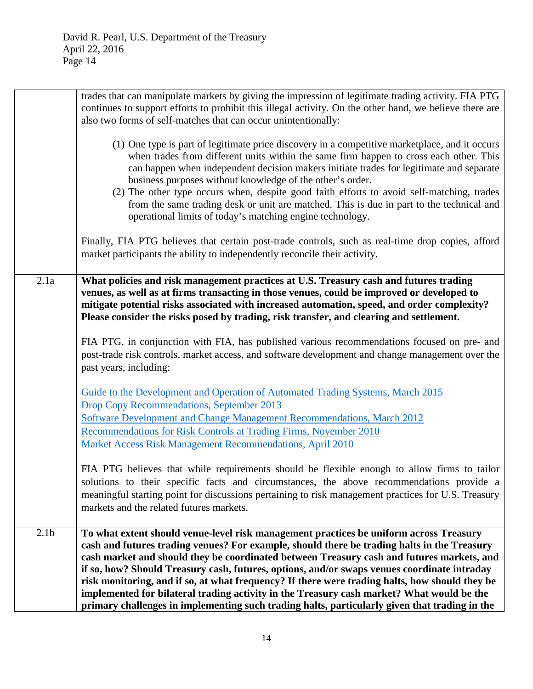|                  | trades that can manipulate markets by giving the impression of legitimate trading activity. FIA PTG<br>continues to support efforts to prohibit this illegal activity. On the other hand, we believe there are<br>also two forms of self-matches that can occur unintentionally:                                                                                                                                                                                                                                                                                                                                                                                                  |
|------------------|-----------------------------------------------------------------------------------------------------------------------------------------------------------------------------------------------------------------------------------------------------------------------------------------------------------------------------------------------------------------------------------------------------------------------------------------------------------------------------------------------------------------------------------------------------------------------------------------------------------------------------------------------------------------------------------|
|                  | (1) One type is part of legitimate price discovery in a competitive marketplace, and it occurs<br>when trades from different units within the same firm happen to cross each other. This<br>can happen when independent decision makers initiate trades for legitimate and separate<br>business purposes without knowledge of the other's order.<br>(2) The other type occurs when, despite good faith efforts to avoid self-matching, trades<br>from the same trading desk or unit are matched. This is due in part to the technical and<br>operational limits of today's matching engine technology.                                                                            |
|                  | Finally, FIA PTG believes that certain post-trade controls, such as real-time drop copies, afford<br>market participants the ability to independently reconcile their activity.                                                                                                                                                                                                                                                                                                                                                                                                                                                                                                   |
| 2.1a             | What policies and risk management practices at U.S. Treasury cash and futures trading<br>venues, as well as at firms transacting in those venues, could be improved or developed to<br>mitigate potential risks associated with increased automation, speed, and order complexity?<br>Please consider the risks posed by trading, risk transfer, and clearing and settlement.                                                                                                                                                                                                                                                                                                     |
|                  | FIA PTG, in conjunction with FIA, has published various recommendations focused on pre- and<br>post-trade risk controls, market access, and software development and change management over the<br>past years, including:                                                                                                                                                                                                                                                                                                                                                                                                                                                         |
|                  | Guide to the Development and Operation of Automated Trading Systems, March 2015<br><b>Drop Copy Recommendations, September 2013</b><br>Software Development and Change Management Recommendations, March 2012                                                                                                                                                                                                                                                                                                                                                                                                                                                                     |
|                  | Recommendations for Risk Controls at Trading Firms, November 2010<br>Market Access Risk Management Recommendations, April 2010                                                                                                                                                                                                                                                                                                                                                                                                                                                                                                                                                    |
|                  | FIA PTG believes that while requirements should be flexible enough to allow firms to tailor<br>solutions to their specific facts and circumstances, the above recommendations provide a<br>meaningful starting point for discussions pertaining to risk management practices for U.S. Treasury<br>markets and the related futures markets.                                                                                                                                                                                                                                                                                                                                        |
| 2.1 <sub>b</sub> | To what extent should venue-level risk management practices be uniform across Treasury<br>cash and futures trading venues? For example, should there be trading halts in the Treasury<br>cash market and should they be coordinated between Treasury cash and futures markets, and<br>if so, how? Should Treasury cash, futures, options, and/or swaps venues coordinate intraday<br>risk monitoring, and if so, at what frequency? If there were trading halts, how should they be<br>implemented for bilateral trading activity in the Treasury cash market? What would be the<br>primary challenges in implementing such trading halts, particularly given that trading in the |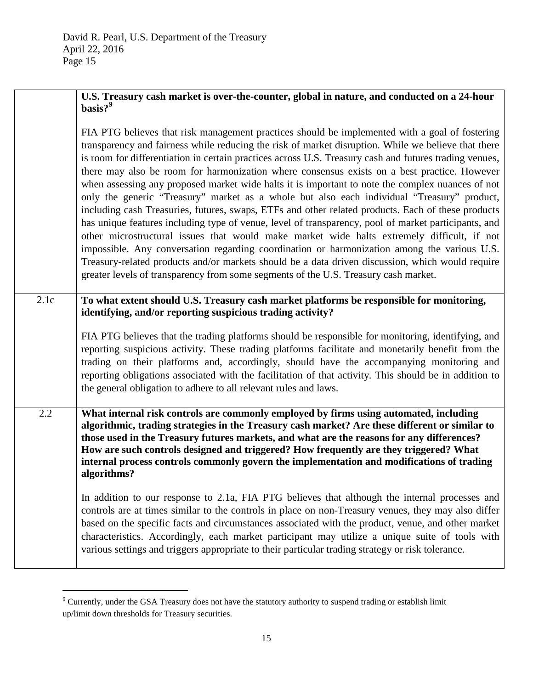|      | $basis?$ <sup>9</sup>                                                                                                                                                                                                                                                                                                                                                                                                                                                                                                                                                                                                                                                                                                                                                                                                                                                                                                                                                                                                                                                                                                                                                                                                  |
|------|------------------------------------------------------------------------------------------------------------------------------------------------------------------------------------------------------------------------------------------------------------------------------------------------------------------------------------------------------------------------------------------------------------------------------------------------------------------------------------------------------------------------------------------------------------------------------------------------------------------------------------------------------------------------------------------------------------------------------------------------------------------------------------------------------------------------------------------------------------------------------------------------------------------------------------------------------------------------------------------------------------------------------------------------------------------------------------------------------------------------------------------------------------------------------------------------------------------------|
|      | FIA PTG believes that risk management practices should be implemented with a goal of fostering<br>transparency and fairness while reducing the risk of market disruption. While we believe that there<br>is room for differentiation in certain practices across U.S. Treasury cash and futures trading venues,<br>there may also be room for harmonization where consensus exists on a best practice. However<br>when assessing any proposed market wide halts it is important to note the complex nuances of not<br>only the generic "Treasury" market as a whole but also each individual "Treasury" product,<br>including cash Treasuries, futures, swaps, ETFs and other related products. Each of these products<br>has unique features including type of venue, level of transparency, pool of market participants, and<br>other microstructural issues that would make market wide halts extremely difficult, if not<br>impossible. Any conversation regarding coordination or harmonization among the various U.S.<br>Treasury-related products and/or markets should be a data driven discussion, which would require<br>greater levels of transparency from some segments of the U.S. Treasury cash market. |
| 2.1c | To what extent should U.S. Treasury cash market platforms be responsible for monitoring,<br>identifying, and/or reporting suspicious trading activity?                                                                                                                                                                                                                                                                                                                                                                                                                                                                                                                                                                                                                                                                                                                                                                                                                                                                                                                                                                                                                                                                 |
|      | FIA PTG believes that the trading platforms should be responsible for monitoring, identifying, and<br>reporting suspicious activity. These trading platforms facilitate and monetarily benefit from the<br>trading on their platforms and, accordingly, should have the accompanying monitoring and<br>reporting obligations associated with the facilitation of that activity. This should be in addition to<br>the general obligation to adhere to all relevant rules and laws.                                                                                                                                                                                                                                                                                                                                                                                                                                                                                                                                                                                                                                                                                                                                      |
| 2.2  | What internal risk controls are commonly employed by firms using automated, including<br>algorithmic, trading strategies in the Treasury cash market? Are these different or similar to<br>those used in the Treasury futures markets, and what are the reasons for any differences?<br>How are such controls designed and triggered? How frequently are they triggered? What<br>internal process controls commonly govern the implementation and modifications of trading<br>algorithms?                                                                                                                                                                                                                                                                                                                                                                                                                                                                                                                                                                                                                                                                                                                              |
|      | In addition to our response to 2.1a, FIA PTG believes that although the internal processes and<br>controls are at times similar to the controls in place on non-Treasury venues, they may also differ<br>based on the specific facts and circumstances associated with the product, venue, and other market<br>characteristics. Accordingly, each market participant may utilize a unique suite of tools with<br>various settings and triggers appropriate to their particular trading strategy or risk tolerance.                                                                                                                                                                                                                                                                                                                                                                                                                                                                                                                                                                                                                                                                                                     |
|      |                                                                                                                                                                                                                                                                                                                                                                                                                                                                                                                                                                                                                                                                                                                                                                                                                                                                                                                                                                                                                                                                                                                                                                                                                        |

<span id="page-14-0"></span> $9^9$  Currently, under the GSA Treasury does not have the statutory authority to suspend trading or establish limit up/limit down thresholds for Treasury securities.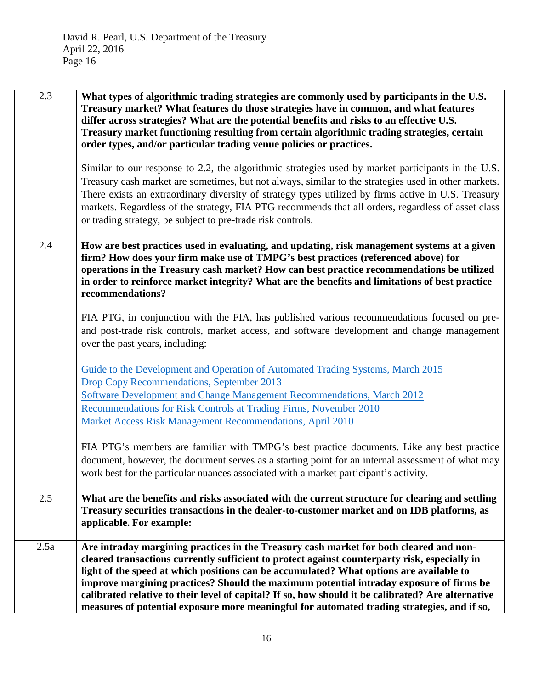| 2.3  | What types of algorithmic trading strategies are commonly used by participants in the U.S.<br>Treasury market? What features do those strategies have in common, and what features<br>differ across strategies? What are the potential benefits and risks to an effective U.S.<br>Treasury market functioning resulting from certain algorithmic trading strategies, certain<br>order types, and/or particular trading venue policies or practices.                                    |
|------|----------------------------------------------------------------------------------------------------------------------------------------------------------------------------------------------------------------------------------------------------------------------------------------------------------------------------------------------------------------------------------------------------------------------------------------------------------------------------------------|
|      | Similar to our response to 2.2, the algorithmic strategies used by market participants in the U.S.<br>Treasury cash market are sometimes, but not always, similar to the strategies used in other markets.<br>There exists an extraordinary diversity of strategy types utilized by firms active in U.S. Treasury<br>markets. Regardless of the strategy, FIA PTG recommends that all orders, regardless of asset class<br>or trading strategy, be subject to pre-trade risk controls. |
| 2.4  | How are best practices used in evaluating, and updating, risk management systems at a given<br>firm? How does your firm make use of TMPG's best practices (referenced above) for<br>operations in the Treasury cash market? How can best practice recommendations be utilized<br>in order to reinforce market integrity? What are the benefits and limitations of best practice<br>recommendations?                                                                                    |
|      | FIA PTG, in conjunction with the FIA, has published various recommendations focused on pre-<br>and post-trade risk controls, market access, and software development and change management<br>over the past years, including:                                                                                                                                                                                                                                                          |
|      | Guide to the Development and Operation of Automated Trading Systems, March 2015<br>Drop Copy Recommendations, September 2013                                                                                                                                                                                                                                                                                                                                                           |
|      | Software Development and Change Management Recommendations, March 2012                                                                                                                                                                                                                                                                                                                                                                                                                 |
|      | Recommendations for Risk Controls at Trading Firms, November 2010<br>Market Access Risk Management Recommendations, April 2010                                                                                                                                                                                                                                                                                                                                                         |
|      | FIA PTG's members are familiar with TMPG's best practice documents. Like any best practice<br>document, however, the document serves as a starting point for an internal assessment of what may<br>work best for the particular nuances associated with a market participant's activity.                                                                                                                                                                                               |
| 2.5  | What are the benefits and risks associated with the current structure for clearing and settling<br>Treasury securities transactions in the dealer-to-customer market and on IDB platforms, as<br>applicable. For example:                                                                                                                                                                                                                                                              |
| 2.5a | Are intraday margining practices in the Treasury cash market for both cleared and non-<br>cleared transactions currently sufficient to protect against counterparty risk, especially in                                                                                                                                                                                                                                                                                                |
|      | light of the speed at which positions can be accumulated? What options are available to<br>improve margining practices? Should the maximum potential intraday exposure of firms be                                                                                                                                                                                                                                                                                                     |
|      | calibrated relative to their level of capital? If so, how should it be calibrated? Are alternative<br>measures of potential exposure more meaningful for automated trading strategies, and if so,                                                                                                                                                                                                                                                                                      |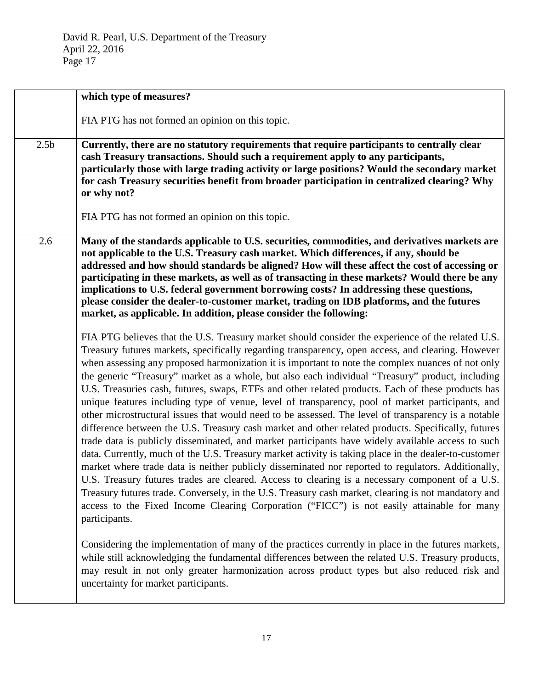|                  | which type of measures?                                                                                                                                                                                                                                                                                                                                                                                                                                                                                                                                                                                                                                                                                                                                                                                                                                                                                                                                                                                                                                                                                                                                                                                                                                                                                                                                                                                                                                                                                                                                                                 |
|------------------|-----------------------------------------------------------------------------------------------------------------------------------------------------------------------------------------------------------------------------------------------------------------------------------------------------------------------------------------------------------------------------------------------------------------------------------------------------------------------------------------------------------------------------------------------------------------------------------------------------------------------------------------------------------------------------------------------------------------------------------------------------------------------------------------------------------------------------------------------------------------------------------------------------------------------------------------------------------------------------------------------------------------------------------------------------------------------------------------------------------------------------------------------------------------------------------------------------------------------------------------------------------------------------------------------------------------------------------------------------------------------------------------------------------------------------------------------------------------------------------------------------------------------------------------------------------------------------------------|
|                  | FIA PTG has not formed an opinion on this topic.                                                                                                                                                                                                                                                                                                                                                                                                                                                                                                                                                                                                                                                                                                                                                                                                                                                                                                                                                                                                                                                                                                                                                                                                                                                                                                                                                                                                                                                                                                                                        |
| 2.5 <sub>b</sub> | Currently, there are no statutory requirements that require participants to centrally clear<br>cash Treasury transactions. Should such a requirement apply to any participants,<br>particularly those with large trading activity or large positions? Would the secondary market<br>for cash Treasury securities benefit from broader participation in centralized clearing? Why<br>or why not?<br>FIA PTG has not formed an opinion on this topic.                                                                                                                                                                                                                                                                                                                                                                                                                                                                                                                                                                                                                                                                                                                                                                                                                                                                                                                                                                                                                                                                                                                                     |
| 2.6              | Many of the standards applicable to U.S. securities, commodities, and derivatives markets are<br>not applicable to the U.S. Treasury cash market. Which differences, if any, should be<br>addressed and how should standards be aligned? How will these affect the cost of accessing or<br>participating in these markets, as well as of transacting in these markets? Would there be any<br>implications to U.S. federal government borrowing costs? In addressing these questions,<br>please consider the dealer-to-customer market, trading on IDB platforms, and the futures<br>market, as applicable. In addition, please consider the following:                                                                                                                                                                                                                                                                                                                                                                                                                                                                                                                                                                                                                                                                                                                                                                                                                                                                                                                                  |
|                  | FIA PTG believes that the U.S. Treasury market should consider the experience of the related U.S.<br>Treasury futures markets, specifically regarding transparency, open access, and clearing. However<br>when assessing any proposed harmonization it is important to note the complex nuances of not only<br>the generic "Treasury" market as a whole, but also each individual "Treasury" product, including<br>U.S. Treasuries cash, futures, swaps, ETFs and other related products. Each of these products has<br>unique features including type of venue, level of transparency, pool of market participants, and<br>other microstructural issues that would need to be assessed. The level of transparency is a notable<br>difference between the U.S. Treasury cash market and other related products. Specifically, futures<br>trade data is publicly disseminated, and market participants have widely available access to such<br>data. Currently, much of the U.S. Treasury market activity is taking place in the dealer-to-customer<br>market where trade data is neither publicly disseminated nor reported to regulators. Additionally,<br>U.S. Treasury futures trades are cleared. Access to clearing is a necessary component of a U.S.<br>Treasury futures trade. Conversely, in the U.S. Treasury cash market, clearing is not mandatory and<br>access to the Fixed Income Clearing Corporation ("FICC") is not easily attainable for many<br>participants.<br>Considering the implementation of many of the practices currently in place in the futures markets, |
|                  | while still acknowledging the fundamental differences between the related U.S. Treasury products,<br>may result in not only greater harmonization across product types but also reduced risk and<br>uncertainty for market participants.                                                                                                                                                                                                                                                                                                                                                                                                                                                                                                                                                                                                                                                                                                                                                                                                                                                                                                                                                                                                                                                                                                                                                                                                                                                                                                                                                |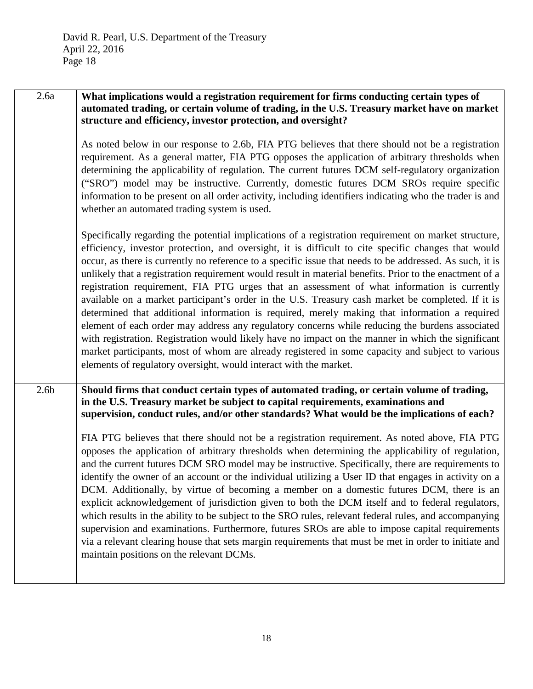| 2.6a             | What implications would a registration requirement for firms conducting certain types of<br>automated trading, or certain volume of trading, in the U.S. Treasury market have on market<br>structure and efficiency, investor protection, and oversight?                                                                                                                                                                                                                                                                                                                                                                                                                                                                                                                                                                                                                                                                                                                                                                                                                                                                  |
|------------------|---------------------------------------------------------------------------------------------------------------------------------------------------------------------------------------------------------------------------------------------------------------------------------------------------------------------------------------------------------------------------------------------------------------------------------------------------------------------------------------------------------------------------------------------------------------------------------------------------------------------------------------------------------------------------------------------------------------------------------------------------------------------------------------------------------------------------------------------------------------------------------------------------------------------------------------------------------------------------------------------------------------------------------------------------------------------------------------------------------------------------|
|                  | As noted below in our response to 2.6b, FIA PTG believes that there should not be a registration<br>requirement. As a general matter, FIA PTG opposes the application of arbitrary thresholds when<br>determining the applicability of regulation. The current futures DCM self-regulatory organization<br>("SRO") model may be instructive. Currently, domestic futures DCM SROs require specific<br>information to be present on all order activity, including identifiers indicating who the trader is and<br>whether an automated trading system is used.                                                                                                                                                                                                                                                                                                                                                                                                                                                                                                                                                             |
|                  | Specifically regarding the potential implications of a registration requirement on market structure,<br>efficiency, investor protection, and oversight, it is difficult to cite specific changes that would<br>occur, as there is currently no reference to a specific issue that needs to be addressed. As such, it is<br>unlikely that a registration requirement would result in material benefits. Prior to the enactment of a<br>registration requirement, FIA PTG urges that an assessment of what information is currently<br>available on a market participant's order in the U.S. Treasury cash market be completed. If it is<br>determined that additional information is required, merely making that information a required<br>element of each order may address any regulatory concerns while reducing the burdens associated<br>with registration. Registration would likely have no impact on the manner in which the significant<br>market participants, most of whom are already registered in some capacity and subject to various<br>elements of regulatory oversight, would interact with the market. |
| 2.6 <sub>b</sub> | Should firms that conduct certain types of automated trading, or certain volume of trading,<br>in the U.S. Treasury market be subject to capital requirements, examinations and<br>supervision, conduct rules, and/or other standards? What would be the implications of each?                                                                                                                                                                                                                                                                                                                                                                                                                                                                                                                                                                                                                                                                                                                                                                                                                                            |
|                  | FIA PTG believes that there should not be a registration requirement. As noted above, FIA PTG<br>opposes the application of arbitrary thresholds when determining the applicability of regulation,<br>and the current futures DCM SRO model may be instructive. Specifically, there are requirements to<br>identify the owner of an account or the individual utilizing a User ID that engages in activity on a<br>DCM. Additionally, by virtue of becoming a member on a domestic futures DCM, there is an<br>explicit acknowledgement of jurisdiction given to both the DCM itself and to federal regulators,<br>which results in the ability to be subject to the SRO rules, relevant federal rules, and accompanying<br>supervision and examinations. Furthermore, futures SROs are able to impose capital requirements<br>via a relevant clearing house that sets margin requirements that must be met in order to initiate and<br>maintain positions on the relevant DCMs.                                                                                                                                          |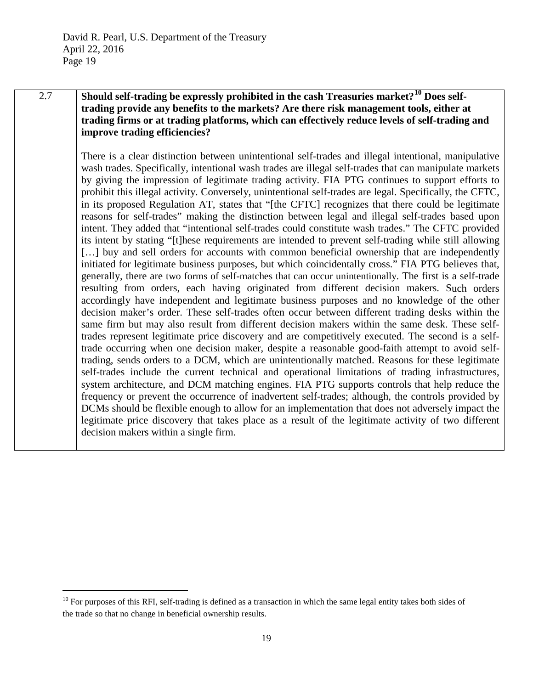2.7 **Should self-trading be expressly prohibited in the cash Treasuries market?[10](#page-18-0) Does selftrading provide any benefits to the markets? Are there risk management tools, either at trading firms or at trading platforms, which can effectively reduce levels of self-trading and improve trading efficiencies?**

> There is a clear distinction between unintentional self-trades and illegal intentional, manipulative wash trades. Specifically, intentional wash trades are illegal self-trades that can manipulate markets by giving the impression of legitimate trading activity. FIA PTG continues to support efforts to prohibit this illegal activity. Conversely, unintentional self-trades are legal. Specifically, the CFTC, in its proposed Regulation AT, states that "[the CFTC] recognizes that there could be legitimate reasons for self-trades" making the distinction between legal and illegal self-trades based upon intent. They added that "intentional self-trades could constitute wash trades." The CFTC provided its intent by stating "[t]hese requirements are intended to prevent self-trading while still allowing [...] buy and sell orders for accounts with common beneficial ownership that are independently initiated for legitimate business purposes, but which coincidentally cross." FIA PTG believes that, generally, there are two forms of self-matches that can occur unintentionally. The first is a self-trade resulting from orders, each having originated from different decision makers. Such orders accordingly have independent and legitimate business purposes and no knowledge of the other decision maker's order. These self-trades often occur between different trading desks within the same firm but may also result from different decision makers within the same desk. These selftrades represent legitimate price discovery and are competitively executed. The second is a selftrade occurring when one decision maker, despite a reasonable good-faith attempt to avoid selftrading, sends orders to a DCM, which are unintentionally matched. Reasons for these legitimate self-trades include the current technical and operational limitations of trading infrastructures, system architecture, and DCM matching engines. FIA PTG supports controls that help reduce the frequency or prevent the occurrence of inadvertent self-trades; although, the controls provided by DCMs should be flexible enough to allow for an implementation that does not adversely impact the legitimate price discovery that takes place as a result of the legitimate activity of two different decision makers within a single firm.

<span id="page-18-0"></span> $10$  For purposes of this RFI, self-trading is defined as a transaction in which the same legal entity takes both sides of the trade so that no change in beneficial ownership results.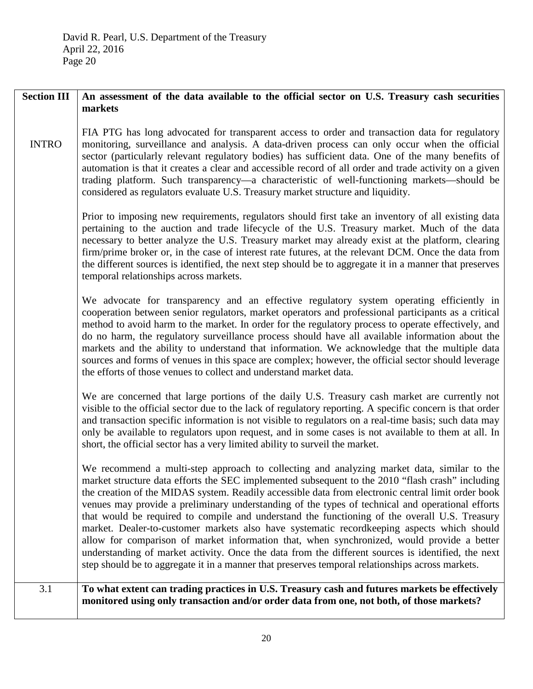| <b>Section III</b> | An assessment of the data available to the official sector on U.S. Treasury cash securities<br>markets                                                                                                                                                                                                                                                                                                                                                                                                                                                                                                                                                                                                                                                                                                                                                                                                          |
|--------------------|-----------------------------------------------------------------------------------------------------------------------------------------------------------------------------------------------------------------------------------------------------------------------------------------------------------------------------------------------------------------------------------------------------------------------------------------------------------------------------------------------------------------------------------------------------------------------------------------------------------------------------------------------------------------------------------------------------------------------------------------------------------------------------------------------------------------------------------------------------------------------------------------------------------------|
| <b>INTRO</b>       | FIA PTG has long advocated for transparent access to order and transaction data for regulatory<br>monitoring, surveillance and analysis. A data-driven process can only occur when the official<br>sector (particularly relevant regulatory bodies) has sufficient data. One of the many benefits of<br>automation is that it creates a clear and accessible record of all order and trade activity on a given<br>trading platform. Such transparency—a characteristic of well-functioning markets—should be<br>considered as regulators evaluate U.S. Treasury market structure and liquidity.                                                                                                                                                                                                                                                                                                                 |
|                    | Prior to imposing new requirements, regulators should first take an inventory of all existing data<br>pertaining to the auction and trade lifecycle of the U.S. Treasury market. Much of the data<br>necessary to better analyze the U.S. Treasury market may already exist at the platform, clearing<br>firm/prime broker or, in the case of interest rate futures, at the relevant DCM. Once the data from<br>the different sources is identified, the next step should be to aggregate it in a manner that preserves<br>temporal relationships across markets.                                                                                                                                                                                                                                                                                                                                               |
|                    | We advocate for transparency and an effective regulatory system operating efficiently in<br>cooperation between senior regulators, market operators and professional participants as a critical<br>method to avoid harm to the market. In order for the regulatory process to operate effectively, and<br>do no harm, the regulatory surveillance process should have all available information about the<br>markets and the ability to understand that information. We acknowledge that the multiple data<br>sources and forms of venues in this space are complex; however, the official sector should leverage<br>the efforts of those venues to collect and understand market data.                                                                                                                                                                                                                         |
|                    | We are concerned that large portions of the daily U.S. Treasury cash market are currently not<br>visible to the official sector due to the lack of regulatory reporting. A specific concern is that order<br>and transaction specific information is not visible to regulators on a real-time basis; such data may<br>only be available to regulators upon request, and in some cases is not available to them at all. In<br>short, the official sector has a very limited ability to surveil the market.                                                                                                                                                                                                                                                                                                                                                                                                       |
|                    | We recommend a multi-step approach to collecting and analyzing market data, similar to the<br>market structure data efforts the SEC implemented subsequent to the 2010 "flash crash" including<br>the creation of the MIDAS system. Readily accessible data from electronic central limit order book<br>venues may provide a preliminary understanding of the types of technical and operational efforts<br>that would be required to compile and understand the functioning of the overall U.S. Treasury<br>market. Dealer-to-customer markets also have systematic recordkeeping aspects which should<br>allow for comparison of market information that, when synchronized, would provide a better<br>understanding of market activity. Once the data from the different sources is identified, the next<br>step should be to aggregate it in a manner that preserves temporal relationships across markets. |
| 3.1                | To what extent can trading practices in U.S. Treasury cash and futures markets be effectively<br>monitored using only transaction and/or order data from one, not both, of those markets?                                                                                                                                                                                                                                                                                                                                                                                                                                                                                                                                                                                                                                                                                                                       |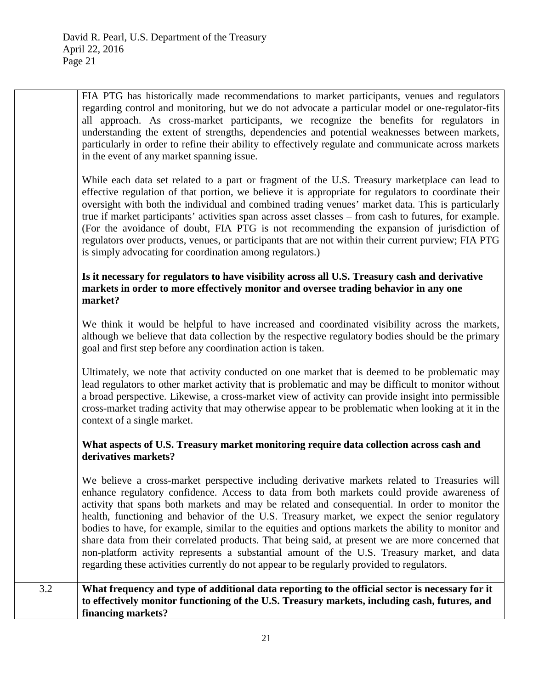FIA PTG has historically made recommendations to market participants, venues and regulators regarding control and monitoring, but we do not advocate a particular model or one-regulator-fits all approach. As cross-market participants, we recognize the benefits for regulators in understanding the extent of strengths, dependencies and potential weaknesses between markets, particularly in order to refine their ability to effectively regulate and communicate across markets in the event of any market spanning issue.

While each data set related to a part or fragment of the U.S. Treasury marketplace can lead to effective regulation of that portion, we believe it is appropriate for regulators to coordinate their oversight with both the individual and combined trading venues' market data. This is particularly true if market participants' activities span across asset classes – from cash to futures, for example. (For the avoidance of doubt, FIA PTG is not recommending the expansion of jurisdiction of regulators over products, venues, or participants that are not within their current purview; FIA PTG is simply advocating for coordination among regulators.)

### **Is it necessary for regulators to have visibility across all U.S. Treasury cash and derivative markets in order to more effectively monitor and oversee trading behavior in any one market?**

We think it would be helpful to have increased and coordinated visibility across the markets, although we believe that data collection by the respective regulatory bodies should be the primary goal and first step before any coordination action is taken.

Ultimately, we note that activity conducted on one market that is deemed to be problematic may lead regulators to other market activity that is problematic and may be difficult to monitor without a broad perspective. Likewise, a cross-market view of activity can provide insight into permissible cross-market trading activity that may otherwise appear to be problematic when looking at it in the context of a single market.

### **What aspects of U.S. Treasury market monitoring require data collection across cash and derivatives markets?**

We believe a cross-market perspective including derivative markets related to Treasuries will enhance regulatory confidence. Access to data from both markets could provide awareness of activity that spans both markets and may be related and consequential. In order to monitor the health, functioning and behavior of the U.S. Treasury market, we expect the senior regulatory bodies to have, for example, similar to the equities and options markets the ability to monitor and share data from their correlated products. That being said, at present we are more concerned that non-platform activity represents a substantial amount of the U.S. Treasury market, and data regarding these activities currently do not appear to be regularly provided to regulators.

3.2 **What frequency and type of additional data reporting to the official sector is necessary for it to effectively monitor functioning of the U.S. Treasury markets, including cash, futures, and financing markets?**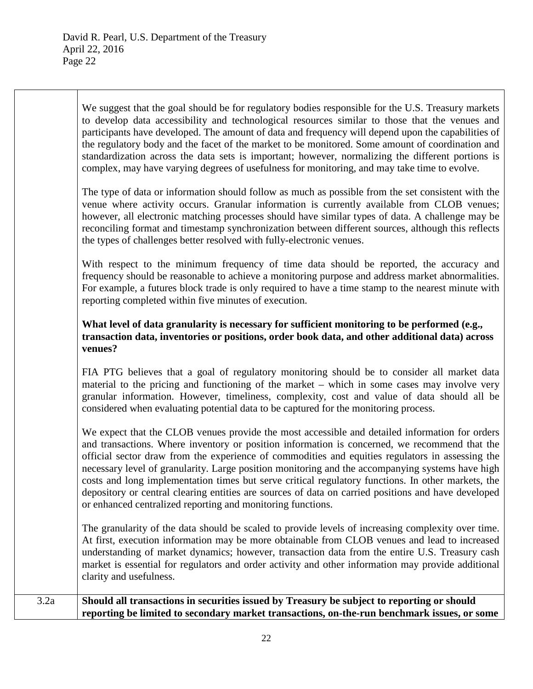We suggest that the goal should be for regulatory bodies responsible for the U.S. Treasury markets to develop data accessibility and technological resources similar to those that the venues and participants have developed. The amount of data and frequency will depend upon the capabilities of the regulatory body and the facet of the market to be monitored. Some amount of coordination and standardization across the data sets is important; however, normalizing the different portions is complex, may have varying degrees of usefulness for monitoring, and may take time to evolve.

The type of data or information should follow as much as possible from the set consistent with the venue where activity occurs. Granular information is currently available from CLOB venues; however, all electronic matching processes should have similar types of data. A challenge may be reconciling format and timestamp synchronization between different sources, although this reflects the types of challenges better resolved with fully-electronic venues.

With respect to the minimum frequency of time data should be reported, the accuracy and frequency should be reasonable to achieve a monitoring purpose and address market abnormalities. For example, a futures block trade is only required to have a time stamp to the nearest minute with reporting completed within five minutes of execution.

#### **What level of data granularity is necessary for sufficient monitoring to be performed (e.g., transaction data, inventories or positions, order book data, and other additional data) across venues?**

FIA PTG believes that a goal of regulatory monitoring should be to consider all market data material to the pricing and functioning of the market – which in some cases may involve very granular information. However, timeliness, complexity, cost and value of data should all be considered when evaluating potential data to be captured for the monitoring process.

We expect that the CLOB venues provide the most accessible and detailed information for orders and transactions. Where inventory or position information is concerned, we recommend that the official sector draw from the experience of commodities and equities regulators in assessing the necessary level of granularity. Large position monitoring and the accompanying systems have high costs and long implementation times but serve critical regulatory functions. In other markets, the depository or central clearing entities are sources of data on carried positions and have developed or enhanced centralized reporting and monitoring functions.

The granularity of the data should be scaled to provide levels of increasing complexity over time. At first, execution information may be more obtainable from CLOB venues and lead to increased understanding of market dynamics; however, transaction data from the entire U.S. Treasury cash market is essential for regulators and order activity and other information may provide additional clarity and usefulness.

3.2a **Should all transactions in securities issued by Treasury be subject to reporting or should reporting be limited to secondary market transactions, on-the-run benchmark issues, or some**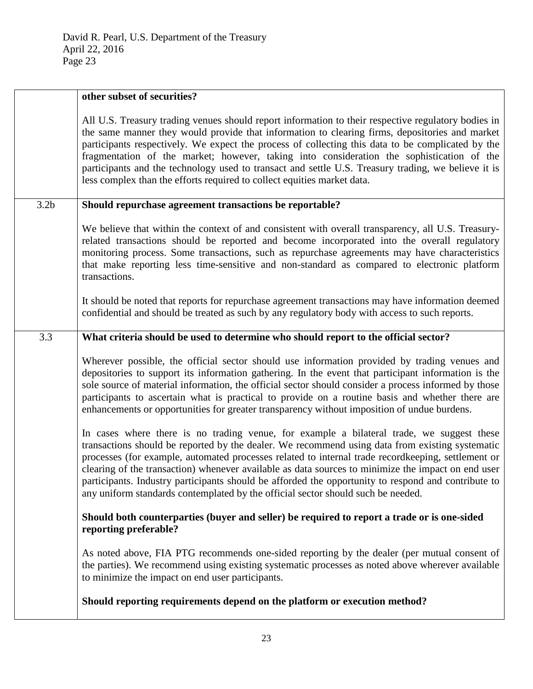|                  | other subset of securities?                                                                                                                                                                                                                                                                                                                                                                                                                                                                                                                                                                         |
|------------------|-----------------------------------------------------------------------------------------------------------------------------------------------------------------------------------------------------------------------------------------------------------------------------------------------------------------------------------------------------------------------------------------------------------------------------------------------------------------------------------------------------------------------------------------------------------------------------------------------------|
|                  | All U.S. Treasury trading venues should report information to their respective regulatory bodies in<br>the same manner they would provide that information to clearing firms, depositories and market<br>participants respectively. We expect the process of collecting this data to be complicated by the<br>fragmentation of the market; however, taking into consideration the sophistication of the<br>participants and the technology used to transact and settle U.S. Treasury trading, we believe it is<br>less complex than the efforts required to collect equities market data.           |
| 3.2 <sub>b</sub> | Should repurchase agreement transactions be reportable?                                                                                                                                                                                                                                                                                                                                                                                                                                                                                                                                             |
|                  | We believe that within the context of and consistent with overall transparency, all U.S. Treasury-<br>related transactions should be reported and become incorporated into the overall regulatory<br>monitoring process. Some transactions, such as repurchase agreements may have characteristics<br>that make reporting less time-sensitive and non-standard as compared to electronic platform<br>transactions.                                                                                                                                                                                  |
|                  | It should be noted that reports for repurchase agreement transactions may have information deemed<br>confidential and should be treated as such by any regulatory body with access to such reports.                                                                                                                                                                                                                                                                                                                                                                                                 |
| 3.3              | What criteria should be used to determine who should report to the official sector?                                                                                                                                                                                                                                                                                                                                                                                                                                                                                                                 |
|                  | Wherever possible, the official sector should use information provided by trading venues and<br>depositories to support its information gathering. In the event that participant information is the<br>sole source of material information, the official sector should consider a process informed by those<br>participants to ascertain what is practical to provide on a routine basis and whether there are<br>enhancements or opportunities for greater transparency without imposition of undue burdens.                                                                                       |
|                  | In cases where there is no trading venue, for example a bilateral trade, we suggest these<br>transactions should be reported by the dealer. We recommend using data from existing systematic<br>processes (for example, automated processes related to internal trade recordkeeping, settlement or<br>clearing of the transaction) whenever available as data sources to minimize the impact on end user<br>participants. Industry participants should be afforded the opportunity to respond and contribute to<br>any uniform standards contemplated by the official sector should such be needed. |
|                  | Should both counterparties (buyer and seller) be required to report a trade or is one-sided<br>reporting preferable?                                                                                                                                                                                                                                                                                                                                                                                                                                                                                |
|                  | As noted above, FIA PTG recommends one-sided reporting by the dealer (per mutual consent of<br>the parties). We recommend using existing systematic processes as noted above wherever available<br>to minimize the impact on end user participants.                                                                                                                                                                                                                                                                                                                                                 |
|                  | Should reporting requirements depend on the platform or execution method?                                                                                                                                                                                                                                                                                                                                                                                                                                                                                                                           |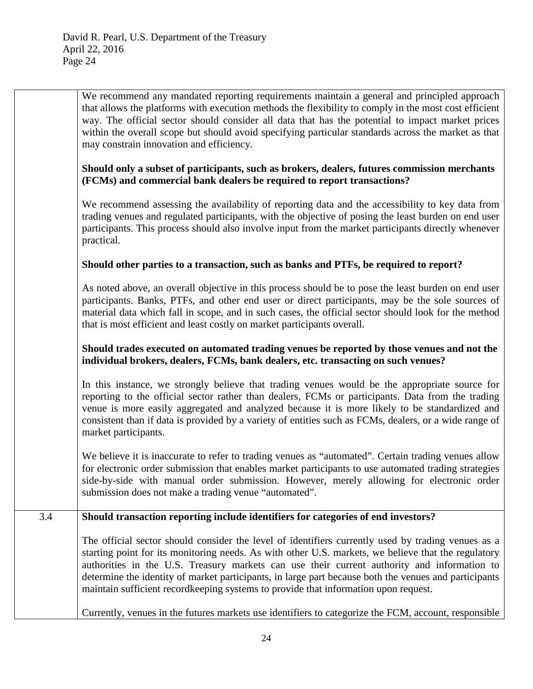|     | We recommend any mandated reporting requirements maintain a general and principled approach<br>that allows the platforms with execution methods the flexibility to comply in the most cost efficient<br>way. The official sector should consider all data that has the potential to impact market prices<br>within the overall scope but should avoid specifying particular standards across the market as that<br>may constrain innovation and efficiency.                                              |
|-----|----------------------------------------------------------------------------------------------------------------------------------------------------------------------------------------------------------------------------------------------------------------------------------------------------------------------------------------------------------------------------------------------------------------------------------------------------------------------------------------------------------|
|     | Should only a subset of participants, such as brokers, dealers, futures commission merchants<br>(FCMs) and commercial bank dealers be required to report transactions?                                                                                                                                                                                                                                                                                                                                   |
|     | We recommend assessing the availability of reporting data and the accessibility to key data from<br>trading venues and regulated participants, with the objective of posing the least burden on end user<br>participants. This process should also involve input from the market participants directly whenever<br>practical.                                                                                                                                                                            |
|     | Should other parties to a transaction, such as banks and PTFs, be required to report?                                                                                                                                                                                                                                                                                                                                                                                                                    |
|     | As noted above, an overall objective in this process should be to pose the least burden on end user<br>participants. Banks, PTFs, and other end user or direct participants, may be the sole sources of<br>material data which fall in scope, and in such cases, the official sector should look for the method<br>that is most efficient and least costly on market participants overall.                                                                                                               |
|     | Should trades executed on automated trading venues be reported by those venues and not the<br>individual brokers, dealers, FCMs, bank dealers, etc. transacting on such venues?                                                                                                                                                                                                                                                                                                                          |
|     | In this instance, we strongly believe that trading venues would be the appropriate source for<br>reporting to the official sector rather than dealers, FCMs or participants. Data from the trading<br>venue is more easily aggregated and analyzed because it is more likely to be standardized and<br>consistent than if data is provided by a variety of entities such as FCMs, dealers, or a wide range of<br>market participants.                                                                    |
|     | We believe it is inaccurate to refer to trading venues as "automated". Certain trading venues allow<br>for electronic order submission that enables market participants to use automated trading strategies<br>side-by-side with manual order submission. However, merely allowing for electronic order<br>submission does not make a trading venue "automated".                                                                                                                                         |
| 3.4 | Should transaction reporting include identifiers for categories of end investors?                                                                                                                                                                                                                                                                                                                                                                                                                        |
|     | The official sector should consider the level of identifiers currently used by trading venues as a<br>starting point for its monitoring needs. As with other U.S. markets, we believe that the regulatory<br>authorities in the U.S. Treasury markets can use their current authority and information to<br>determine the identity of market participants, in large part because both the venues and participants<br>maintain sufficient recordkeeping systems to provide that information upon request. |
|     | Currently, venues in the futures markets use identifiers to categorize the FCM, account, responsible                                                                                                                                                                                                                                                                                                                                                                                                     |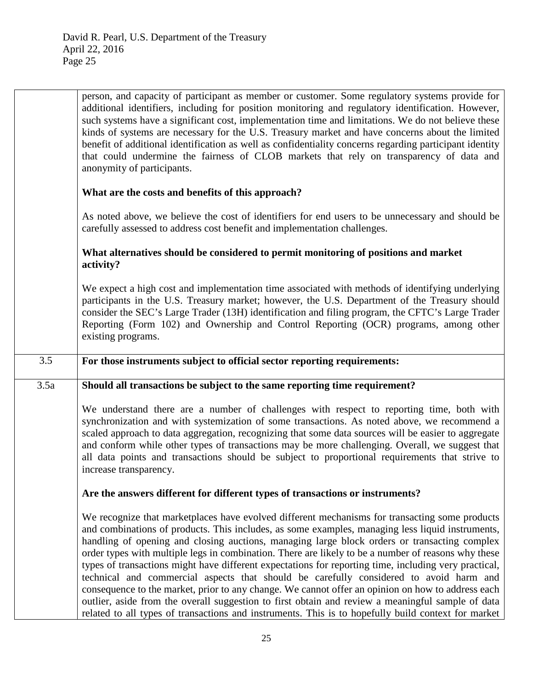|      | person, and capacity of participant as member or customer. Some regulatory systems provide for<br>additional identifiers, including for position monitoring and regulatory identification. However,<br>such systems have a significant cost, implementation time and limitations. We do not believe these<br>kinds of systems are necessary for the U.S. Treasury market and have concerns about the limited<br>benefit of additional identification as well as confidentiality concerns regarding participant identity<br>that could undermine the fairness of CLOB markets that rely on transparency of data and<br>anonymity of participants. |
|------|--------------------------------------------------------------------------------------------------------------------------------------------------------------------------------------------------------------------------------------------------------------------------------------------------------------------------------------------------------------------------------------------------------------------------------------------------------------------------------------------------------------------------------------------------------------------------------------------------------------------------------------------------|
|      | What are the costs and benefits of this approach?                                                                                                                                                                                                                                                                                                                                                                                                                                                                                                                                                                                                |
|      | As noted above, we believe the cost of identifiers for end users to be unnecessary and should be<br>carefully assessed to address cost benefit and implementation challenges.                                                                                                                                                                                                                                                                                                                                                                                                                                                                    |
|      | What alternatives should be considered to permit monitoring of positions and market<br>activity?                                                                                                                                                                                                                                                                                                                                                                                                                                                                                                                                                 |
|      | We expect a high cost and implementation time associated with methods of identifying underlying<br>participants in the U.S. Treasury market; however, the U.S. Department of the Treasury should<br>consider the SEC's Large Trader (13H) identification and filing program, the CFTC's Large Trader<br>Reporting (Form 102) and Ownership and Control Reporting (OCR) programs, among other<br>existing programs.                                                                                                                                                                                                                               |
| 3.5  | For those instruments subject to official sector reporting requirements:                                                                                                                                                                                                                                                                                                                                                                                                                                                                                                                                                                         |
|      |                                                                                                                                                                                                                                                                                                                                                                                                                                                                                                                                                                                                                                                  |
| 3.5a | Should all transactions be subject to the same reporting time requirement?                                                                                                                                                                                                                                                                                                                                                                                                                                                                                                                                                                       |
|      | We understand there are a number of challenges with respect to reporting time, both with<br>synchronization and with systemization of some transactions. As noted above, we recommend a<br>scaled approach to data aggregation, recognizing that some data sources will be easier to aggregate<br>and conform while other types of transactions may be more challenging. Overall, we suggest that<br>all data points and transactions should be subject to proportional requirements that strive to<br>increase transparency.                                                                                                                    |
|      | Are the answers different for different types of transactions or instruments?                                                                                                                                                                                                                                                                                                                                                                                                                                                                                                                                                                    |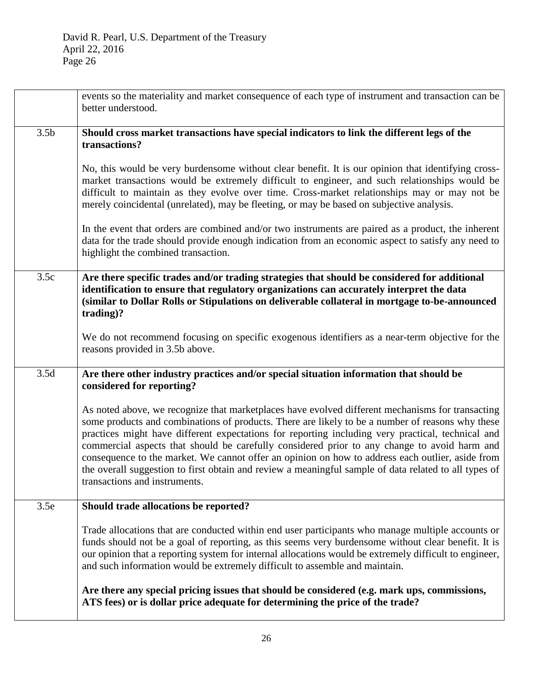|                  | events so the materiality and market consequence of each type of instrument and transaction can be<br>better understood.                                                                                                                                                                                                                                                                                                                                                                                                                                                                                                                                |
|------------------|---------------------------------------------------------------------------------------------------------------------------------------------------------------------------------------------------------------------------------------------------------------------------------------------------------------------------------------------------------------------------------------------------------------------------------------------------------------------------------------------------------------------------------------------------------------------------------------------------------------------------------------------------------|
| 3.5 <sub>b</sub> | Should cross market transactions have special indicators to link the different legs of the<br>transactions?                                                                                                                                                                                                                                                                                                                                                                                                                                                                                                                                             |
|                  | No, this would be very burdensome without clear benefit. It is our opinion that identifying cross-<br>market transactions would be extremely difficult to engineer, and such relationships would be<br>difficult to maintain as they evolve over time. Cross-market relationships may or may not be<br>merely coincidental (unrelated), may be fleeting, or may be based on subjective analysis.                                                                                                                                                                                                                                                        |
|                  | In the event that orders are combined and/or two instruments are paired as a product, the inherent<br>data for the trade should provide enough indication from an economic aspect to satisfy any need to<br>highlight the combined transaction.                                                                                                                                                                                                                                                                                                                                                                                                         |
| 3.5c             | Are there specific trades and/or trading strategies that should be considered for additional<br>identification to ensure that regulatory organizations can accurately interpret the data<br>(similar to Dollar Rolls or Stipulations on deliverable collateral in mortgage to-be-announced<br>trading)?                                                                                                                                                                                                                                                                                                                                                 |
|                  | We do not recommend focusing on specific exogenous identifiers as a near-term objective for the<br>reasons provided in 3.5b above.                                                                                                                                                                                                                                                                                                                                                                                                                                                                                                                      |
| 3.5d             | Are there other industry practices and/or special situation information that should be<br>considered for reporting?                                                                                                                                                                                                                                                                                                                                                                                                                                                                                                                                     |
|                  | As noted above, we recognize that marketplaces have evolved different mechanisms for transacting<br>some products and combinations of products. There are likely to be a number of reasons why these<br>practices might have different expectations for reporting including very practical, technical and<br>commercial aspects that should be carefully considered prior to any change to avoid harm and<br>consequence to the market. We cannot offer an opinion on how to address each outlier, aside from<br>the overall suggestion to first obtain and review a meaningful sample of data related to all types of<br>transactions and instruments. |
| 3.5e             | Should trade allocations be reported?                                                                                                                                                                                                                                                                                                                                                                                                                                                                                                                                                                                                                   |
|                  | Trade allocations that are conducted within end user participants who manage multiple accounts or<br>funds should not be a goal of reporting, as this seems very burdensome without clear benefit. It is<br>our opinion that a reporting system for internal allocations would be extremely difficult to engineer,<br>and such information would be extremely difficult to assemble and maintain.                                                                                                                                                                                                                                                       |
|                  | Are there any special pricing issues that should be considered (e.g. mark ups, commissions,<br>ATS fees) or is dollar price adequate for determining the price of the trade?                                                                                                                                                                                                                                                                                                                                                                                                                                                                            |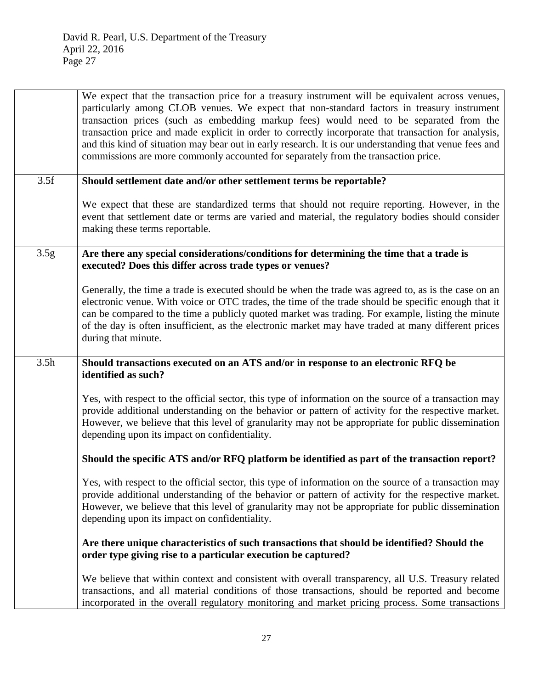We expect that the transaction price for a treasury instrument will be equivalent across venues, particularly among CLOB venues. We expect that non-standard factors in treasury instrument transaction prices (such as embedding markup fees) would need to be separated from the transaction price and made explicit in order to correctly incorporate that transaction for analysis, and this kind of situation may bear out in early research. It is our understanding that venue fees and commissions are more commonly accounted for separately from the transaction price. 3.5f **Should settlement date and/or other settlement terms be reportable?**  We expect that these are standardized terms that should not require reporting. However, in the event that settlement date or terms are varied and material, the regulatory bodies should consider making these terms reportable. 3.5g **Are there any special considerations/conditions for determining the time that a trade is executed? Does this differ across trade types or venues?** Generally, the time a trade is executed should be when the trade was agreed to, as is the case on an electronic venue. With voice or OTC trades, the time of the trade should be specific enough that it can be compared to the time a publicly quoted market was trading. For example, listing the minute of the day is often insufficient, as the electronic market may have traded at many different prices during that minute. 3.5h **Should transactions executed on an ATS and/or in response to an electronic RFQ be identified as such?**  Yes, with respect to the official sector, this type of information on the source of a transaction may provide additional understanding on the behavior or pattern of activity for the respective market. However, we believe that this level of granularity may not be appropriate for public dissemination depending upon its impact on confidentiality. **Should the specific ATS and/or RFQ platform be identified as part of the transaction report?**  Yes, with respect to the official sector, this type of information on the source of a transaction may provide additional understanding of the behavior or pattern of activity for the respective market. However, we believe that this level of granularity may not be appropriate for public dissemination depending upon its impact on confidentiality. **Are there unique characteristics of such transactions that should be identified? Should the order type giving rise to a particular execution be captured?**  We believe that within context and consistent with overall transparency, all U.S. Treasury related transactions, and all material conditions of those transactions, should be reported and become incorporated in the overall regulatory monitoring and market pricing process. Some transactions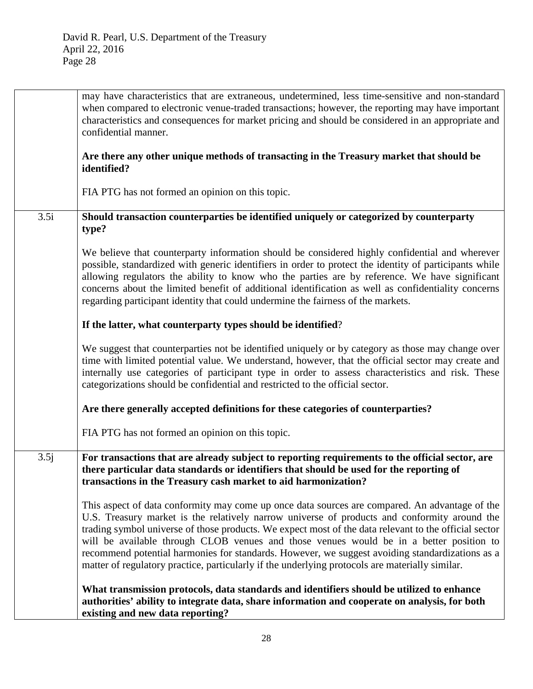|      | may have characteristics that are extraneous, undetermined, less time-sensitive and non-standard<br>when compared to electronic venue-traded transactions; however, the reporting may have important<br>characteristics and consequences for market pricing and should be considered in an appropriate and<br>confidential manner.                                                                                                                                                                                                                                                                       |
|------|----------------------------------------------------------------------------------------------------------------------------------------------------------------------------------------------------------------------------------------------------------------------------------------------------------------------------------------------------------------------------------------------------------------------------------------------------------------------------------------------------------------------------------------------------------------------------------------------------------|
|      | Are there any other unique methods of transacting in the Treasury market that should be<br>identified?                                                                                                                                                                                                                                                                                                                                                                                                                                                                                                   |
|      | FIA PTG has not formed an opinion on this topic.                                                                                                                                                                                                                                                                                                                                                                                                                                                                                                                                                         |
| 3.5i | Should transaction counterparties be identified uniquely or categorized by counterparty<br>type?                                                                                                                                                                                                                                                                                                                                                                                                                                                                                                         |
|      | We believe that counterparty information should be considered highly confidential and wherever<br>possible, standardized with generic identifiers in order to protect the identity of participants while<br>allowing regulators the ability to know who the parties are by reference. We have significant<br>concerns about the limited benefit of additional identification as well as confidentiality concerns<br>regarding participant identity that could undermine the fairness of the markets.                                                                                                     |
|      | If the latter, what counterparty types should be identified?                                                                                                                                                                                                                                                                                                                                                                                                                                                                                                                                             |
|      | We suggest that counterparties not be identified uniquely or by category as those may change over<br>time with limited potential value. We understand, however, that the official sector may create and<br>internally use categories of participant type in order to assess characteristics and risk. These<br>categorizations should be confidential and restricted to the official sector.                                                                                                                                                                                                             |
|      | Are there generally accepted definitions for these categories of counterparties?                                                                                                                                                                                                                                                                                                                                                                                                                                                                                                                         |
|      | FIA PTG has not formed an opinion on this topic.                                                                                                                                                                                                                                                                                                                                                                                                                                                                                                                                                         |
| 3.5j | For transactions that are already subject to reporting requirements to the official sector, are<br>there particular data standards or identifiers that should be used for the reporting of<br>transactions in the Treasury cash market to aid harmonization?                                                                                                                                                                                                                                                                                                                                             |
|      | This aspect of data conformity may come up once data sources are compared. An advantage of the<br>U.S. Treasury market is the relatively narrow universe of products and conformity around the<br>trading symbol universe of those products. We expect most of the data relevant to the official sector<br>will be available through CLOB venues and those venues would be in a better position to<br>recommend potential harmonies for standards. However, we suggest avoiding standardizations as a<br>matter of regulatory practice, particularly if the underlying protocols are materially similar. |
|      | What transmission protocols, data standards and identifiers should be utilized to enhance<br>authorities' ability to integrate data, share information and cooperate on analysis, for both<br>existing and new data reporting?                                                                                                                                                                                                                                                                                                                                                                           |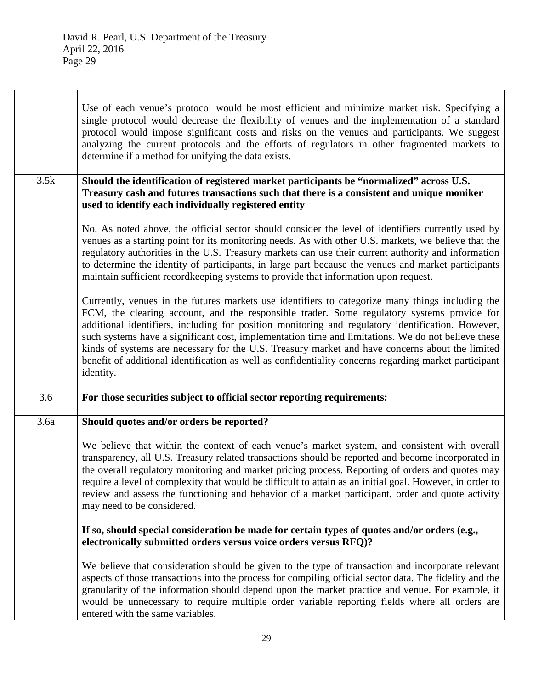|      | Use of each venue's protocol would be most efficient and minimize market risk. Specifying a<br>single protocol would decrease the flexibility of venues and the implementation of a standard<br>protocol would impose significant costs and risks on the venues and participants. We suggest<br>analyzing the current protocols and the efforts of regulators in other fragmented markets to<br>determine if a method for unifying the data exists.                                                                                                                                                                                |
|------|------------------------------------------------------------------------------------------------------------------------------------------------------------------------------------------------------------------------------------------------------------------------------------------------------------------------------------------------------------------------------------------------------------------------------------------------------------------------------------------------------------------------------------------------------------------------------------------------------------------------------------|
| 3.5k | Should the identification of registered market participants be "normalized" across U.S.<br>Treasury cash and futures transactions such that there is a consistent and unique moniker<br>used to identify each individually registered entity                                                                                                                                                                                                                                                                                                                                                                                       |
|      | No. As noted above, the official sector should consider the level of identifiers currently used by<br>venues as a starting point for its monitoring needs. As with other U.S. markets, we believe that the<br>regulatory authorities in the U.S. Treasury markets can use their current authority and information<br>to determine the identity of participants, in large part because the venues and market participants<br>maintain sufficient recordkeeping systems to provide that information upon request.                                                                                                                    |
|      | Currently, venues in the futures markets use identifiers to categorize many things including the<br>FCM, the clearing account, and the responsible trader. Some regulatory systems provide for<br>additional identifiers, including for position monitoring and regulatory identification. However,<br>such systems have a significant cost, implementation time and limitations. We do not believe these<br>kinds of systems are necessary for the U.S. Treasury market and have concerns about the limited<br>benefit of additional identification as well as confidentiality concerns regarding market participant<br>identity. |
| 3.6  | For those securities subject to official sector reporting requirements:                                                                                                                                                                                                                                                                                                                                                                                                                                                                                                                                                            |
| 3.6a | Should quotes and/or orders be reported?                                                                                                                                                                                                                                                                                                                                                                                                                                                                                                                                                                                           |
|      | We believe that within the context of each venue's market system, and consistent with overall<br>transparency, all U.S. Treasury related transactions should be reported and become incorporated in<br>the overall regulatory monitoring and market pricing process. Reporting of orders and quotes may<br>require a level of complexity that would be difficult to attain as an initial goal. However, in order to<br>review and assess the functioning and behavior of a market participant, order and quote activity<br>may need to be considered.                                                                              |
|      | If so, should special consideration be made for certain types of quotes and/or orders (e.g.,<br>electronically submitted orders versus voice orders versus RFQ)?                                                                                                                                                                                                                                                                                                                                                                                                                                                                   |
|      | We believe that consideration should be given to the type of transaction and incorporate relevant<br>aspects of those transactions into the process for compiling official sector data. The fidelity and the<br>granularity of the information should depend upon the market practice and venue. For example, it<br>would be unnecessary to require multiple order variable reporting fields where all orders are<br>entered with the same variables.                                                                                                                                                                              |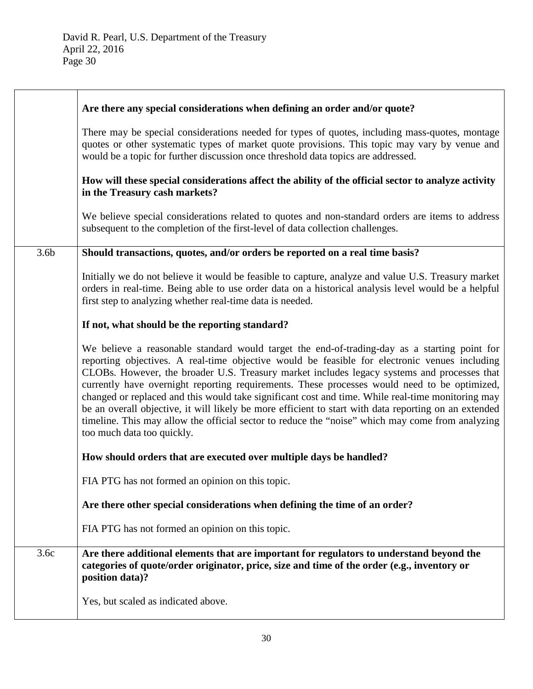|                  | Are there any special considerations when defining an order and/or quote?                                                                                                                                                                                                                                                                                                                                                                                                                                                                                                                                                                                                                                                                    |
|------------------|----------------------------------------------------------------------------------------------------------------------------------------------------------------------------------------------------------------------------------------------------------------------------------------------------------------------------------------------------------------------------------------------------------------------------------------------------------------------------------------------------------------------------------------------------------------------------------------------------------------------------------------------------------------------------------------------------------------------------------------------|
|                  | There may be special considerations needed for types of quotes, including mass-quotes, montage<br>quotes or other systematic types of market quote provisions. This topic may vary by venue and<br>would be a topic for further discussion once threshold data topics are addressed.                                                                                                                                                                                                                                                                                                                                                                                                                                                         |
|                  | How will these special considerations affect the ability of the official sector to analyze activity<br>in the Treasury cash markets?                                                                                                                                                                                                                                                                                                                                                                                                                                                                                                                                                                                                         |
|                  | We believe special considerations related to quotes and non-standard orders are items to address<br>subsequent to the completion of the first-level of data collection challenges.                                                                                                                                                                                                                                                                                                                                                                                                                                                                                                                                                           |
| 3.6 <sub>b</sub> | Should transactions, quotes, and/or orders be reported on a real time basis?                                                                                                                                                                                                                                                                                                                                                                                                                                                                                                                                                                                                                                                                 |
|                  | Initially we do not believe it would be feasible to capture, analyze and value U.S. Treasury market<br>orders in real-time. Being able to use order data on a historical analysis level would be a helpful<br>first step to analyzing whether real-time data is needed.                                                                                                                                                                                                                                                                                                                                                                                                                                                                      |
|                  | If not, what should be the reporting standard?                                                                                                                                                                                                                                                                                                                                                                                                                                                                                                                                                                                                                                                                                               |
|                  | We believe a reasonable standard would target the end-of-trading-day as a starting point for<br>reporting objectives. A real-time objective would be feasible for electronic venues including<br>CLOBs. However, the broader U.S. Treasury market includes legacy systems and processes that<br>currently have overnight reporting requirements. These processes would need to be optimized,<br>changed or replaced and this would take significant cost and time. While real-time monitoring may<br>be an overall objective, it will likely be more efficient to start with data reporting on an extended<br>timeline. This may allow the official sector to reduce the "noise" which may come from analyzing<br>too much data too quickly. |
|                  | How should orders that are executed over multiple days be handled?                                                                                                                                                                                                                                                                                                                                                                                                                                                                                                                                                                                                                                                                           |
|                  | FIA PTG has not formed an opinion on this topic.                                                                                                                                                                                                                                                                                                                                                                                                                                                                                                                                                                                                                                                                                             |
|                  | Are there other special considerations when defining the time of an order?                                                                                                                                                                                                                                                                                                                                                                                                                                                                                                                                                                                                                                                                   |
|                  | FIA PTG has not formed an opinion on this topic.                                                                                                                                                                                                                                                                                                                                                                                                                                                                                                                                                                                                                                                                                             |
| 3.6c             | Are there additional elements that are important for regulators to understand beyond the<br>categories of quote/order originator, price, size and time of the order (e.g., inventory or<br>position data)?                                                                                                                                                                                                                                                                                                                                                                                                                                                                                                                                   |
|                  | Yes, but scaled as indicated above.                                                                                                                                                                                                                                                                                                                                                                                                                                                                                                                                                                                                                                                                                                          |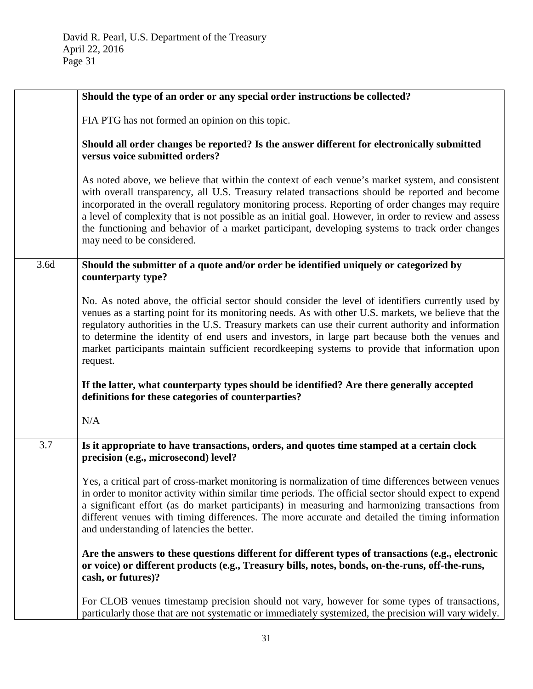|      | Should the type of an order or any special order instructions be collected?                                                                                                                                                                                                                                                                                                                                                                                                                                                                        |
|------|----------------------------------------------------------------------------------------------------------------------------------------------------------------------------------------------------------------------------------------------------------------------------------------------------------------------------------------------------------------------------------------------------------------------------------------------------------------------------------------------------------------------------------------------------|
|      | FIA PTG has not formed an opinion on this topic.                                                                                                                                                                                                                                                                                                                                                                                                                                                                                                   |
|      | Should all order changes be reported? Is the answer different for electronically submitted<br>versus voice submitted orders?                                                                                                                                                                                                                                                                                                                                                                                                                       |
|      | As noted above, we believe that within the context of each venue's market system, and consistent<br>with overall transparency, all U.S. Treasury related transactions should be reported and become<br>incorporated in the overall regulatory monitoring process. Reporting of order changes may require<br>a level of complexity that is not possible as an initial goal. However, in order to review and assess<br>the functioning and behavior of a market participant, developing systems to track order changes<br>may need to be considered. |
| 3.6d | Should the submitter of a quote and/or order be identified uniquely or categorized by<br>counterparty type?                                                                                                                                                                                                                                                                                                                                                                                                                                        |
|      | No. As noted above, the official sector should consider the level of identifiers currently used by<br>venues as a starting point for its monitoring needs. As with other U.S. markets, we believe that the<br>regulatory authorities in the U.S. Treasury markets can use their current authority and information<br>to determine the identity of end users and investors, in large part because both the venues and<br>market participants maintain sufficient recordkeeping systems to provide that information upon<br>request.                 |
|      | If the latter, what counterparty types should be identified? Are there generally accepted<br>definitions for these categories of counterparties?                                                                                                                                                                                                                                                                                                                                                                                                   |
|      | N/A                                                                                                                                                                                                                                                                                                                                                                                                                                                                                                                                                |
| 3.7  | Is it appropriate to have transactions, orders, and quotes time stamped at a certain clock<br>precision (e.g., microsecond) level?                                                                                                                                                                                                                                                                                                                                                                                                                 |
|      | Yes, a critical part of cross-market monitoring is normalization of time differences between venues<br>in order to monitor activity within similar time periods. The official sector should expect to expend<br>a significant effort (as do market participants) in measuring and harmonizing transactions from<br>different venues with timing differences. The more accurate and detailed the timing information<br>and understanding of latencies the better.                                                                                   |
|      | Are the answers to these questions different for different types of transactions (e.g., electronic<br>or voice) or different products (e.g., Treasury bills, notes, bonds, on-the-runs, off-the-runs,<br>cash, or futures)?                                                                                                                                                                                                                                                                                                                        |
|      | For CLOB venues timestamp precision should not vary, however for some types of transactions,<br>particularly those that are not systematic or immediately systemized, the precision will vary widely.                                                                                                                                                                                                                                                                                                                                              |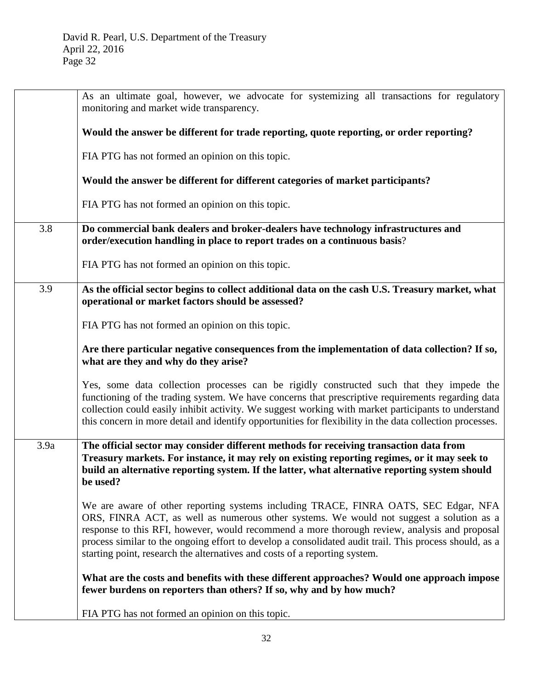|      | As an ultimate goal, however, we advocate for systemizing all transactions for regulatory<br>monitoring and market wide transparency.                                                                                                                                                                                                                                                                                                                                  |
|------|------------------------------------------------------------------------------------------------------------------------------------------------------------------------------------------------------------------------------------------------------------------------------------------------------------------------------------------------------------------------------------------------------------------------------------------------------------------------|
|      | Would the answer be different for trade reporting, quote reporting, or order reporting?                                                                                                                                                                                                                                                                                                                                                                                |
|      | FIA PTG has not formed an opinion on this topic.                                                                                                                                                                                                                                                                                                                                                                                                                       |
|      | Would the answer be different for different categories of market participants?                                                                                                                                                                                                                                                                                                                                                                                         |
|      | FIA PTG has not formed an opinion on this topic.                                                                                                                                                                                                                                                                                                                                                                                                                       |
| 3.8  | Do commercial bank dealers and broker-dealers have technology infrastructures and<br>order/execution handling in place to report trades on a continuous basis?                                                                                                                                                                                                                                                                                                         |
|      | FIA PTG has not formed an opinion on this topic.                                                                                                                                                                                                                                                                                                                                                                                                                       |
| 3.9  | As the official sector begins to collect additional data on the cash U.S. Treasury market, what<br>operational or market factors should be assessed?                                                                                                                                                                                                                                                                                                                   |
|      | FIA PTG has not formed an opinion on this topic.                                                                                                                                                                                                                                                                                                                                                                                                                       |
|      | Are there particular negative consequences from the implementation of data collection? If so,<br>what are they and why do they arise?                                                                                                                                                                                                                                                                                                                                  |
|      | Yes, some data collection processes can be rigidly constructed such that they impede the<br>functioning of the trading system. We have concerns that prescriptive requirements regarding data<br>collection could easily inhibit activity. We suggest working with market participants to understand<br>this concern in more detail and identify opportunities for flexibility in the data collection processes.                                                       |
| 3.9a | The official sector may consider different methods for receiving transaction data from<br>Treasury markets. For instance, it may rely on existing reporting regimes, or it may seek to<br>build an alternative reporting system. If the latter, what alternative reporting system should<br>be used?                                                                                                                                                                   |
|      | We are aware of other reporting systems including TRACE, FINRA OATS, SEC Edgar, NFA<br>ORS, FINRA ACT, as well as numerous other systems. We would not suggest a solution as a<br>response to this RFI, however, would recommend a more thorough review, analysis and proposal<br>process similar to the ongoing effort to develop a consolidated audit trail. This process should, as a<br>starting point, research the alternatives and costs of a reporting system. |
|      | What are the costs and benefits with these different approaches? Would one approach impose<br>fewer burdens on reporters than others? If so, why and by how much?                                                                                                                                                                                                                                                                                                      |
|      | FIA PTG has not formed an opinion on this topic.                                                                                                                                                                                                                                                                                                                                                                                                                       |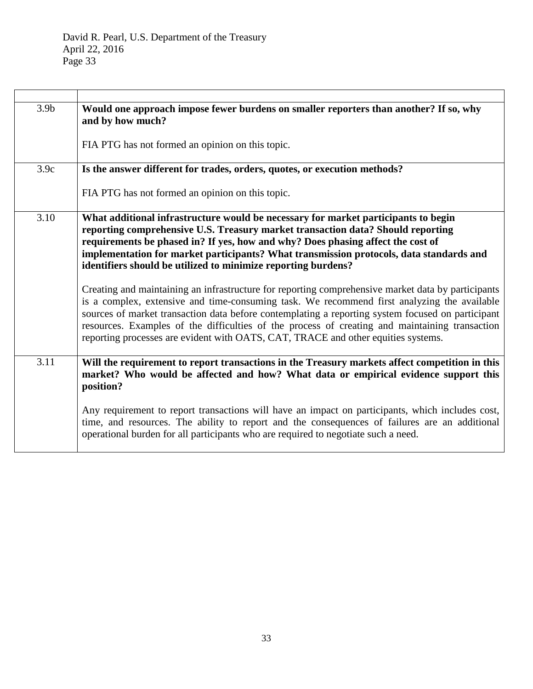| 3.9 <sub>b</sub> | Would one approach impose fewer burdens on smaller reporters than another? If so, why<br>and by how much?                                                                                                                                                                                                                                                                                                                                                                                     |
|------------------|-----------------------------------------------------------------------------------------------------------------------------------------------------------------------------------------------------------------------------------------------------------------------------------------------------------------------------------------------------------------------------------------------------------------------------------------------------------------------------------------------|
|                  | FIA PTG has not formed an opinion on this topic.                                                                                                                                                                                                                                                                                                                                                                                                                                              |
| 3.9c             | Is the answer different for trades, orders, quotes, or execution methods?                                                                                                                                                                                                                                                                                                                                                                                                                     |
|                  | FIA PTG has not formed an opinion on this topic.                                                                                                                                                                                                                                                                                                                                                                                                                                              |
| 3.10             | What additional infrastructure would be necessary for market participants to begin<br>reporting comprehensive U.S. Treasury market transaction data? Should reporting<br>requirements be phased in? If yes, how and why? Does phasing affect the cost of<br>implementation for market participants? What transmission protocols, data standards and<br>identifiers should be utilized to minimize reporting burdens?                                                                          |
|                  | Creating and maintaining an infrastructure for reporting comprehensive market data by participants<br>is a complex, extensive and time-consuming task. We recommend first analyzing the available<br>sources of market transaction data before contemplating a reporting system focused on participant<br>resources. Examples of the difficulties of the process of creating and maintaining transaction<br>reporting processes are evident with OATS, CAT, TRACE and other equities systems. |
| 3.11             | Will the requirement to report transactions in the Treasury markets affect competition in this<br>market? Who would be affected and how? What data or empirical evidence support this<br>position?                                                                                                                                                                                                                                                                                            |
|                  | Any requirement to report transactions will have an impact on participants, which includes cost,<br>time, and resources. The ability to report and the consequences of failures are an additional<br>operational burden for all participants who are required to negotiate such a need.                                                                                                                                                                                                       |

<u> 1980 - Johann Barbara, martxa alemaniar argametra (h. 1980).</u>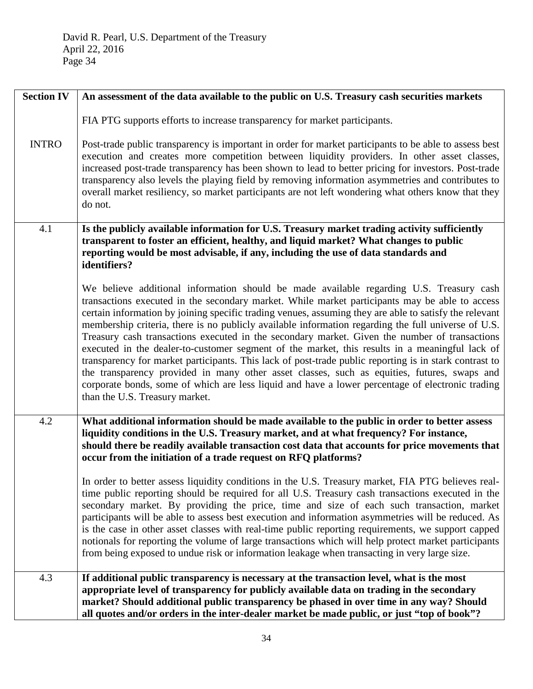| <b>Section IV</b> | An assessment of the data available to the public on U.S. Treasury cash securities markets                                                                                                                                                                                                                                                                                                                                                                                                                                                                                                                                                                                                                                                                                                                                                                                                                                                                   |
|-------------------|--------------------------------------------------------------------------------------------------------------------------------------------------------------------------------------------------------------------------------------------------------------------------------------------------------------------------------------------------------------------------------------------------------------------------------------------------------------------------------------------------------------------------------------------------------------------------------------------------------------------------------------------------------------------------------------------------------------------------------------------------------------------------------------------------------------------------------------------------------------------------------------------------------------------------------------------------------------|
|                   | FIA PTG supports efforts to increase transparency for market participants.                                                                                                                                                                                                                                                                                                                                                                                                                                                                                                                                                                                                                                                                                                                                                                                                                                                                                   |
| <b>INTRO</b>      | Post-trade public transparency is important in order for market participants to be able to assess best<br>execution and creates more competition between liquidity providers. In other asset classes,<br>increased post-trade transparency has been shown to lead to better pricing for investors. Post-trade<br>transparency also levels the playing field by removing information asymmetries and contributes to<br>overall market resiliency, so market participants are not left wondering what others know that they<br>do not.                                                                                                                                                                                                                                                                                                                                                                                                                         |
| 4.1               | Is the publicly available information for U.S. Treasury market trading activity sufficiently<br>transparent to foster an efficient, healthy, and liquid market? What changes to public<br>reporting would be most advisable, if any, including the use of data standards and<br>identifiers?                                                                                                                                                                                                                                                                                                                                                                                                                                                                                                                                                                                                                                                                 |
|                   | We believe additional information should be made available regarding U.S. Treasury cash<br>transactions executed in the secondary market. While market participants may be able to access<br>certain information by joining specific trading venues, assuming they are able to satisfy the relevant<br>membership criteria, there is no publicly available information regarding the full universe of U.S.<br>Treasury cash transactions executed in the secondary market. Given the number of transactions<br>executed in the dealer-to-customer segment of the market, this results in a meaningful lack of<br>transparency for market participants. This lack of post-trade public reporting is in stark contrast to<br>the transparency provided in many other asset classes, such as equities, futures, swaps and<br>corporate bonds, some of which are less liquid and have a lower percentage of electronic trading<br>than the U.S. Treasury market. |
| 4.2               | What additional information should be made available to the public in order to better assess<br>liquidity conditions in the U.S. Treasury market, and at what frequency? For instance,<br>should there be readily available transaction cost data that accounts for price movements that<br>occur from the initiation of a trade request on RFQ platforms?                                                                                                                                                                                                                                                                                                                                                                                                                                                                                                                                                                                                   |
|                   | In order to better assess liquidity conditions in the U.S. Treasury market, FIA PTG believes real-<br>time public reporting should be required for all U.S. Treasury cash transactions executed in the<br>secondary market. By providing the price, time and size of each such transaction, market<br>participants will be able to assess best execution and information asymmetries will be reduced. As<br>is the case in other asset classes with real-time public reporting requirements, we support capped<br>notionals for reporting the volume of large transactions which will help protect market participants<br>from being exposed to undue risk or information leakage when transacting in very large size.                                                                                                                                                                                                                                       |
| 4.3               | If additional public transparency is necessary at the transaction level, what is the most<br>appropriate level of transparency for publicly available data on trading in the secondary<br>market? Should additional public transparency be phased in over time in any way? Should<br>all quotes and/or orders in the inter-dealer market be made public, or just "top of book"?                                                                                                                                                                                                                                                                                                                                                                                                                                                                                                                                                                              |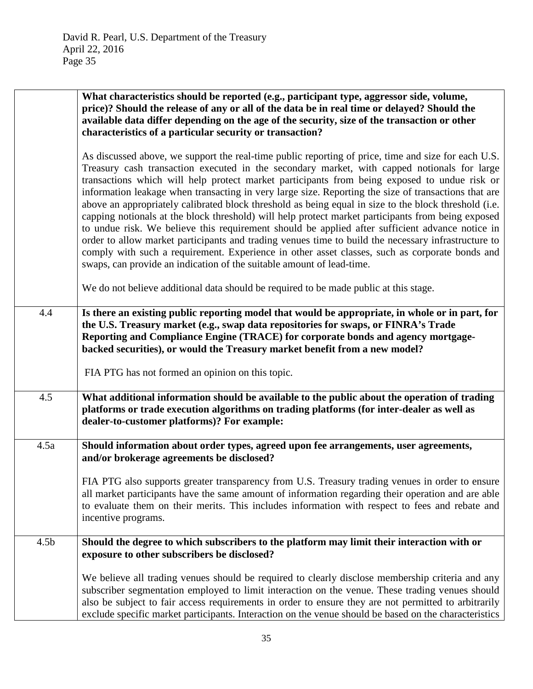|                  | What characteristics should be reported (e.g., participant type, aggressor side, volume,<br>price)? Should the release of any or all of the data be in real time or delayed? Should the<br>available data differ depending on the age of the security, size of the transaction or other<br>characteristics of a particular security or transaction?                                                                                                                                                                                                                                                                                                                                                                                                                                                                                                                                                                                                                                                            |
|------------------|----------------------------------------------------------------------------------------------------------------------------------------------------------------------------------------------------------------------------------------------------------------------------------------------------------------------------------------------------------------------------------------------------------------------------------------------------------------------------------------------------------------------------------------------------------------------------------------------------------------------------------------------------------------------------------------------------------------------------------------------------------------------------------------------------------------------------------------------------------------------------------------------------------------------------------------------------------------------------------------------------------------|
|                  | As discussed above, we support the real-time public reporting of price, time and size for each U.S.<br>Treasury cash transaction executed in the secondary market, with capped notionals for large<br>transactions which will help protect market participants from being exposed to undue risk or<br>information leakage when transacting in very large size. Reporting the size of transactions that are<br>above an appropriately calibrated block threshold as being equal in size to the block threshold (i.e.<br>capping notionals at the block threshold) will help protect market participants from being exposed<br>to undue risk. We believe this requirement should be applied after sufficient advance notice in<br>order to allow market participants and trading venues time to build the necessary infrastructure to<br>comply with such a requirement. Experience in other asset classes, such as corporate bonds and<br>swaps, can provide an indication of the suitable amount of lead-time. |
|                  | We do not believe additional data should be required to be made public at this stage.                                                                                                                                                                                                                                                                                                                                                                                                                                                                                                                                                                                                                                                                                                                                                                                                                                                                                                                          |
| 4.4              | Is there an existing public reporting model that would be appropriate, in whole or in part, for<br>the U.S. Treasury market (e.g., swap data repositories for swaps, or FINRA's Trade<br>Reporting and Compliance Engine (TRACE) for corporate bonds and agency mortgage-<br>backed securities), or would the Treasury market benefit from a new model?<br>FIA PTG has not formed an opinion on this topic.                                                                                                                                                                                                                                                                                                                                                                                                                                                                                                                                                                                                    |
| 4.5              | What additional information should be available to the public about the operation of trading<br>platforms or trade execution algorithms on trading platforms (for inter-dealer as well as<br>dealer-to-customer platforms)? For example:                                                                                                                                                                                                                                                                                                                                                                                                                                                                                                                                                                                                                                                                                                                                                                       |
| 4.5a             | Should information about order types, agreed upon fee arrangements, user agreements,<br>and/or brokerage agreements be disclosed?                                                                                                                                                                                                                                                                                                                                                                                                                                                                                                                                                                                                                                                                                                                                                                                                                                                                              |
|                  | FIA PTG also supports greater transparency from U.S. Treasury trading venues in order to ensure<br>all market participants have the same amount of information regarding their operation and are able<br>to evaluate them on their merits. This includes information with respect to fees and rebate and<br>incentive programs.                                                                                                                                                                                                                                                                                                                                                                                                                                                                                                                                                                                                                                                                                |
| 4.5 <sub>b</sub> | Should the degree to which subscribers to the platform may limit their interaction with or<br>exposure to other subscribers be disclosed?                                                                                                                                                                                                                                                                                                                                                                                                                                                                                                                                                                                                                                                                                                                                                                                                                                                                      |
|                  | We believe all trading venues should be required to clearly disclose membership criteria and any<br>subscriber segmentation employed to limit interaction on the venue. These trading venues should<br>also be subject to fair access requirements in order to ensure they are not permitted to arbitrarily<br>exclude specific market participants. Interaction on the venue should be based on the characteristics                                                                                                                                                                                                                                                                                                                                                                                                                                                                                                                                                                                           |